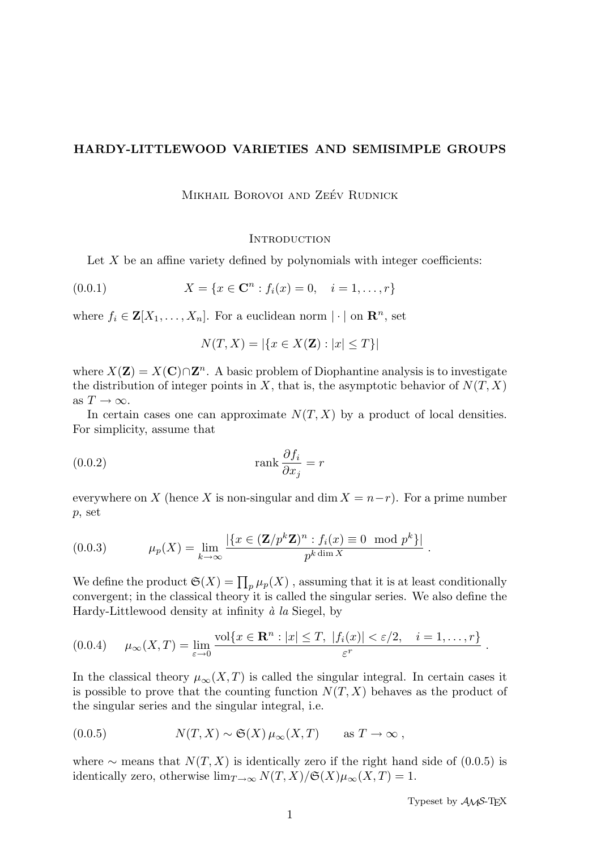# HARDY-LITTLEWOOD VARIETIES AND SEMISIMPLE GROUPS

MIKHAIL BOROVOI AND ZEÉV RUDNICK

**INTRODUCTION** 

Let  $X$  be an affine variety defined by polynomials with integer coefficients:

(0.0.1) 
$$
X = \{x \in \mathbf{C}^n : f_i(x) = 0, \quad i = 1, ..., r\}
$$

where  $f_i \in \mathbf{Z}[X_1, \ldots, X_n]$ . For a euclidean norm  $|\cdot|$  on  $\mathbf{R}^n$ , set

$$
N(T, X) = |\{x \in X(\mathbf{Z}) : |x| \le T\}|
$$

where  $X(\mathbf{Z}) = X(\mathbf{C}) \cap \mathbf{Z}^n$ . A basic problem of Diophantine analysis is to investigate the distribution of integer points in X, that is, the asymptotic behavior of  $N(T, X)$ as  $T \to \infty$ .

In certain cases one can approximate  $N(T, X)$  by a product of local densities. For simplicity, assume that

$$
\tanh \frac{\partial f_i}{\partial x_j} = r
$$

everywhere on X (hence X is non-singular and dim  $X = n-r$ ). For a prime number p, set

(0.0.3) 
$$
\mu_p(X) = \lim_{k \to \infty} \frac{|\{x \in (\mathbf{Z}/p^k \mathbf{Z})^n : f_i(x) \equiv 0 \mod p^k\}|}{p^{k \dim X}}.
$$

We define the product  $\mathfrak{S}(X) = \prod_p \mu_p(X)$ , assuming that it is at least conditionally convergent; in the classical theory it is called the singular series. We also define the Hardy-Littlewood density at infinity  $\dot{a}$  la Siegel, by

$$
(0.0.4) \qquad \mu_{\infty}(X,T) = \lim_{\varepsilon \to 0} \frac{\text{vol}\{x \in \mathbf{R}^n : |x| \leq T, \ |f_i(x)| < \varepsilon/2, \quad i = 1,\ldots,r\}}{\varepsilon^r} \; .
$$

In the classical theory  $\mu_{\infty}(X,T)$  is called the singular integral. In certain cases it is possible to prove that the counting function  $N(T, X)$  behaves as the product of the singular series and the singular integral, i.e.

$$
(0.0.5) \t\t N(T, X) \sim \mathfrak{S}(X) \mu_{\infty}(X, T) \t as T \to \infty ,
$$

where  $\sim$  means that  $N(T, X)$  is identically zero if the right hand side of (0.0.5) is identically zero, otherwise  $\lim_{T\to\infty} N(T, X)/\mathfrak{S}(X)\mu_{\infty}(X, T) = 1.$ 

Typeset by  $A\mathcal{M}S$ -TFX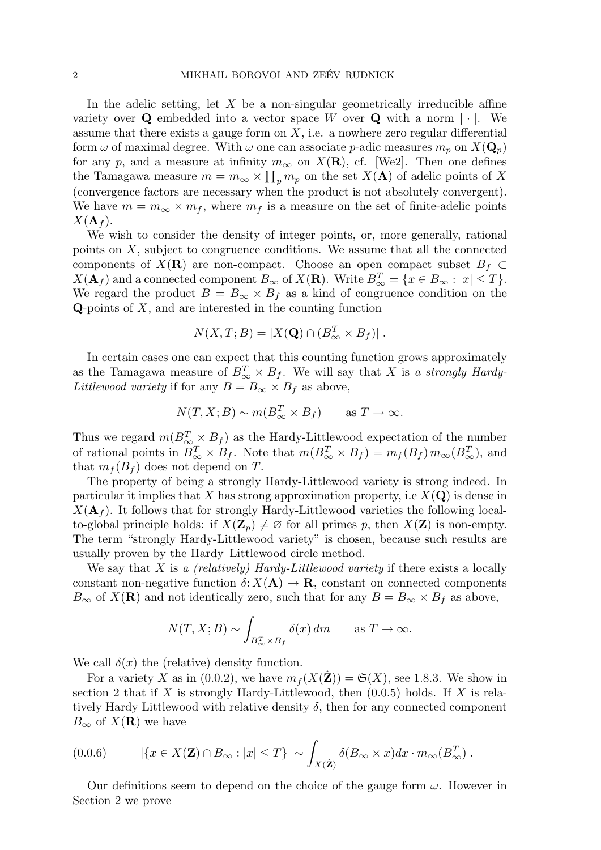In the adelic setting, let  $X$  be a non-singular geometrically irreducible affine variety over **Q** embedded into a vector space W over **Q** with a norm  $|\cdot|$ . We assume that there exists a gauge form on  $X$ , i.e. a nowhere zero regular differential form  $\omega$  of maximal degree. With  $\omega$  one can associate p-adic measures  $m_p$  on  $X(\mathbf{Q}_p)$ for any p, and a measure at infinity  $m_{\infty}$  on  $X(\mathbf{R})$ , cf. [We2]. Then one defines the Tamagawa measure  $m = m_{\infty} \times \prod_{p} m_{p}$  on the set  $X(A)$  of adelic points of X (convergence factors are necessary when the product is not absolutely convergent). We have  $m = m_{\infty} \times m_f$ , where  $m_f$  is a measure on the set of finite-adelic points  $X({\bf A}_f)$ .

We wish to consider the density of integer points, or, more generally, rational points on X, subject to congruence conditions. We assume that all the connected components of  $X(\mathbf{R})$  are non-compact. Choose an open compact subset  $B_f \subset$  $X(\mathbf{A}_f)$  and a connected component  $B_{\infty}$  of  $X(\mathbf{R})$ . Write  $B_{\infty}^T = \{x \in B_{\infty} : |x| \leq T\}$ . We regard the product  $B = B_{\infty} \times B_f$  as a kind of congruence condition on the  $Q$ -points of  $X$ , and are interested in the counting function

$$
N(X, T; B) = |X(\mathbf{Q}) \cap (B_{\infty}^T \times B_f)|.
$$

In certain cases one can expect that this counting function grows approximately as the Tamagawa measure of  $B_{\infty}^T \times B_f$ . We will say that X is a strongly Hardy-Littlewood variety if for any  $B = B_{\infty} \times B_f$  as above,

$$
N(T, X; B) \sim m(B_{\infty}^T \times B_f) \quad \text{as } T \to \infty.
$$

Thus we regard  $m(B_{\infty}^T \times B_f)$  as the Hardy-Littlewood expectation of the number of rational points in  $B_{\infty}^T \times B_f$ . Note that  $m(B_{\infty}^T \times B_f) = m_f(B_f) m_{\infty}(B_{\infty}^T)$ , and that  $m_f (B_f)$  does not depend on T.

The property of being a strongly Hardy-Littlewood variety is strong indeed. In particular it implies that X has strong approximation property, i.e  $X(Q)$  is dense in  $X(\mathbf{A}_f)$ . It follows that for strongly Hardy-Littlewood varieties the following localto-global principle holds: if  $X(\mathbf{Z}_p) \neq \emptyset$  for all primes p, then  $X(\mathbf{Z})$  is non-empty. The term "strongly Hardy-Littlewood variety" is chosen, because such results are usually proven by the Hardy–Littlewood circle method.

We say that X is a (relatively) Hardy-Littlewood variety if there exists a locally constant non-negative function  $\delta: X(\mathbf{A}) \to \mathbf{R}$ , constant on connected components  $B_{\infty}$  of  $X(\mathbf{R})$  and not identically zero, such that for any  $B = B_{\infty} \times B_f$  as above,

$$
N(T, X; B) \sim \int_{B_{\infty}^T \times B_f} \delta(x) \, dm \qquad \text{as } T \to \infty.
$$

We call  $\delta(x)$  the (relative) density function.

For a variety X as in (0.0.2), we have  $m_f(X(\mathbf{Z})) = \mathfrak{S}(X)$ , see 1.8.3. We show in section 2 that if X is strongly Hardy-Littlewood, then  $(0.0.5)$  holds. If X is relatively Hardy Littlewood with relative density  $\delta$ , then for any connected component  $B_{\infty}$  of  $X(\mathbf{R})$  we have

$$
(0.0.6) \qquad |\{x \in X(\mathbf{Z}) \cap B_{\infty} : |x| \leq T\}| \sim \int_{X(\hat{\mathbf{Z}})} \delta(B_{\infty} \times x) dx \cdot m_{\infty}(B_{\infty}^{T}).
$$

Our definitions seem to depend on the choice of the gauge form  $\omega$ . However in Section 2 we prove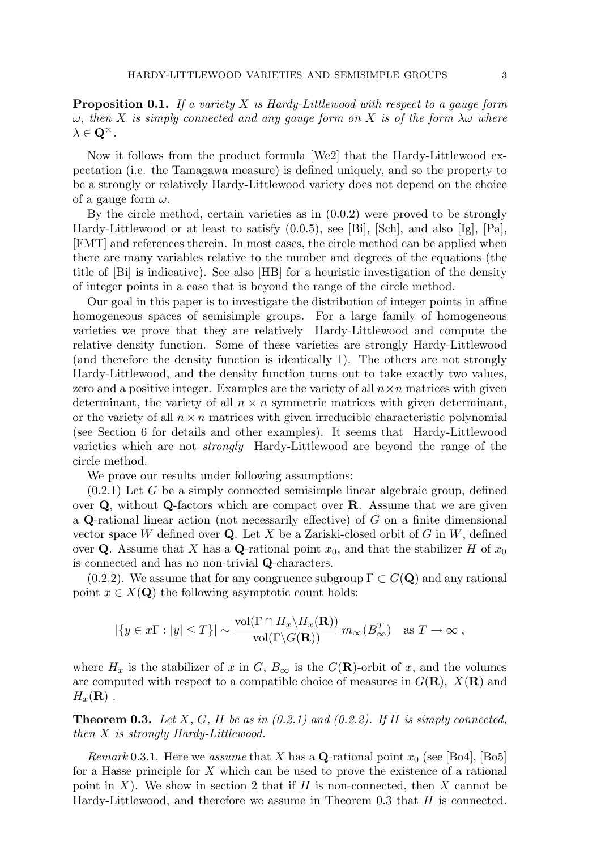**Proposition 0.1.** If a variety X is Hardy-Littlewood with respect to a gauge form  $\omega$ , then X is simply connected and any gauge form on X is of the form  $\lambda \omega$  where  $\lambda \in \mathbf{Q}^{\times}$ .

Now it follows from the product formula [We2] that the Hardy-Littlewood expectation (i.e. the Tamagawa measure) is defined uniquely, and so the property to be a strongly or relatively Hardy-Littlewood variety does not depend on the choice of a gauge form  $\omega$ .

By the circle method, certain varieties as in (0.0.2) were proved to be strongly Hardy-Littlewood or at least to satisfy (0.0.5), see [Bi], [Sch], and also [Ig], [Pa], [FMT] and references therein. In most cases, the circle method can be applied when there are many variables relative to the number and degrees of the equations (the title of [Bi] is indicative). See also [HB] for a heuristic investigation of the density of integer points in a case that is beyond the range of the circle method.

Our goal in this paper is to investigate the distribution of integer points in affine homogeneous spaces of semisimple groups. For a large family of homogeneous varieties we prove that they are relatively Hardy-Littlewood and compute the relative density function. Some of these varieties are strongly Hardy-Littlewood (and therefore the density function is identically 1). The others are not strongly Hardy-Littlewood, and the density function turns out to take exactly two values, zero and a positive integer. Examples are the variety of all  $n \times n$  matrices with given determinant, the variety of all  $n \times n$  symmetric matrices with given determinant, or the variety of all  $n \times n$  matrices with given irreducible characteristic polynomial (see Section 6 for details and other examples). It seems that Hardy-Littlewood varieties which are not strongly Hardy-Littlewood are beyond the range of the circle method.

We prove our results under following assumptions:

 $(0.2.1)$  Let G be a simply connected semisimple linear algebraic group, defined over Q, without Q-factors which are compact over R. Assume that we are given a Q-rational linear action (not necessarily effective) of G on a finite dimensional vector space W defined over  $Q$ . Let X be a Zariski-closed orbit of G in W, defined over Q. Assume that X has a Q-rational point  $x_0$ , and that the stabilizer H of  $x_0$ is connected and has no non-trivial Q-characters.

(0.2.2). We assume that for any congruence subgroup  $\Gamma \subset G(\mathbf{Q})$  and any rational point  $x \in X(\mathbf{Q})$  the following asymptotic count holds:

$$
|\{y \in x\Gamma : |y| \leq T\}| \sim \frac{\text{vol}(\Gamma \cap H_x \backslash H_x(\mathbf{R}))}{\text{vol}(\Gamma \backslash G(\mathbf{R}))} m_{\infty}(B_{\infty}^T) \text{ as } T \to \infty,
$$

where  $H_x$  is the stabilizer of x in G,  $B_{\infty}$  is the G(R)-orbit of x, and the volumes are computed with respect to a compatible choice of measures in  $G(\mathbf{R})$ ,  $X(\mathbf{R})$  and  $H_x(\mathbf{R})$ .

**Theorem 0.3.** Let X, G, H be as in  $(0.2.1)$  and  $(0.2.2)$ . If H is simply connected, then X is strongly Hardy-Littlewood.

*Remark* 0.3.1. Here we assume that X has a **Q**-rational point  $x_0$  (see [Bo4], [Bo5] for a Hasse principle for X which can be used to prove the existence of a rational point in X). We show in section 2 that if H is non-connected, then X cannot be Hardy-Littlewood, and therefore we assume in Theorem  $0.3$  that  $H$  is connected.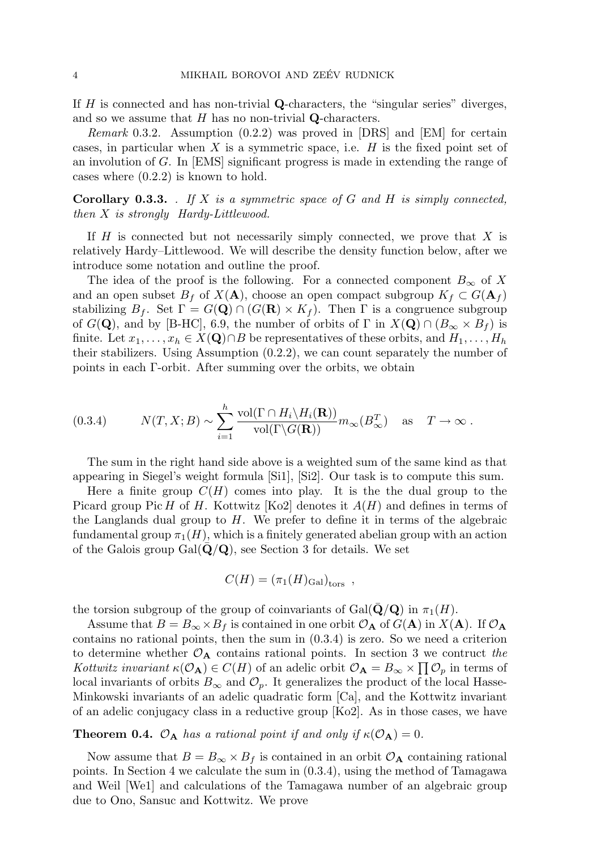If  $H$  is connected and has non-trivial Q-characters, the "singular series" diverges, and so we assume that  $H$  has no non-trivial **Q**-characters.

*Remark* 0.3.2. Assumption  $(0.2.2)$  was proved in [DRS] and [EM] for certain cases, in particular when  $X$  is a symmetric space, i.e.  $H$  is the fixed point set of an involution of G. In [EMS] significant progress is made in extending the range of cases where (0.2.2) is known to hold.

**Corollary 0.3.3.** If X is a symmetric space of G and H is simply connected, then X is strongly Hardy-Littlewood.

If  $H$  is connected but not necessarily simply connected, we prove that  $X$  is relatively Hardy–Littlewood. We will describe the density function below, after we introduce some notation and outline the proof.

The idea of the proof is the following. For a connected component  $B_{\infty}$  of X and an open subset  $B_f$  of  $X(\mathbf{A})$ , choose an open compact subgroup  $K_f \subset G(\mathbf{A}_f)$ stabilizing  $B_f$ . Set  $\Gamma = G(\mathbf{Q}) \cap (G(\mathbf{R}) \times K_f)$ . Then  $\Gamma$  is a congruence subgroup of  $G(\mathbf{Q})$ , and by [B-HC], 6.9, the number of orbits of  $\Gamma$  in  $X(\mathbf{Q}) \cap (B_{\infty} \times B_f)$  is finite. Let  $x_1, \ldots, x_h \in X(\mathbf{Q}) \cap B$  be representatives of these orbits, and  $H_1, \ldots, H_h$ their stabilizers. Using Assumption (0.2.2), we can count separately the number of points in each Γ-orbit. After summing over the orbits, we obtain

(0.3.4) 
$$
N(T, X; B) \sim \sum_{i=1}^{h} \frac{\text{vol}(\Gamma \cap H_i \backslash H_i(\mathbf{R}))}{\text{vol}(\Gamma \backslash G(\mathbf{R}))} m_{\infty}(B_{\infty}^T) \text{ as } T \to \infty.
$$

The sum in the right hand side above is a weighted sum of the same kind as that appearing in Siegel's weight formula [Si1], [Si2]. Our task is to compute this sum.

Here a finite group  $C(H)$  comes into play. It is the the dual group to the Picard group Pic H of H. Kottwitz [Ko2] denotes it  $A(H)$  and defines in terms of the Langlands dual group to  $H$ . We prefer to define it in terms of the algebraic fundamental group  $\pi_1(H)$ , which is a finitely generated abelian group with an action of the Galois group  $Gal(\mathbf{Q}/\mathbf{Q})$ , see Section 3 for details. We set

$$
C(H) = (\pi_1(H)_{Gal})_{tors} ,
$$

the torsion subgroup of the group of coinvariants of  $Gal(\bar{\mathbf{Q}}/\mathbf{Q})$  in  $\pi_1(H)$ .

Assume that  $B = B_{\infty} \times B_f$  is contained in one orbit  $\mathcal{O}_{\mathbf{A}}$  of  $G(\mathbf{A})$  in  $X(\mathbf{A})$ . If  $\mathcal{O}_{\mathbf{A}}$ contains no rational points, then the sum in (0.3.4) is zero. So we need a criterion to determine whether  $\mathcal{O}_A$  contains rational points. In section 3 we contruct the Kottwitz invariant  $\kappa(\mathcal{O}_A) \in C(H)$  of an adelic orbit  $\mathcal{O}_A = B_\infty \times \prod \mathcal{O}_p$  in terms of local invariants of orbits  $B_{\infty}$  and  $\mathcal{O}_p$ . It generalizes the product of the local Hasse-Minkowski invariants of an adelic quadratic form [Ca], and the Kottwitz invariant of an adelic conjugacy class in a reductive group [Ko2]. As in those cases, we have

# **Theorem 0.4.**  $\mathcal{O}_{\mathbf{A}}$  has a rational point if and only if  $\kappa(\mathcal{O}_{\mathbf{A}}) = 0$ .

Now assume that  $B = B_{\infty} \times B_f$  is contained in an orbit  $\mathcal{O}_{\mathbf{A}}$  containing rational points. In Section 4 we calculate the sum in  $(0.3.4)$ , using the method of Tamagawa and Weil [We1] and calculations of the Tamagawa number of an algebraic group due to Ono, Sansuc and Kottwitz. We prove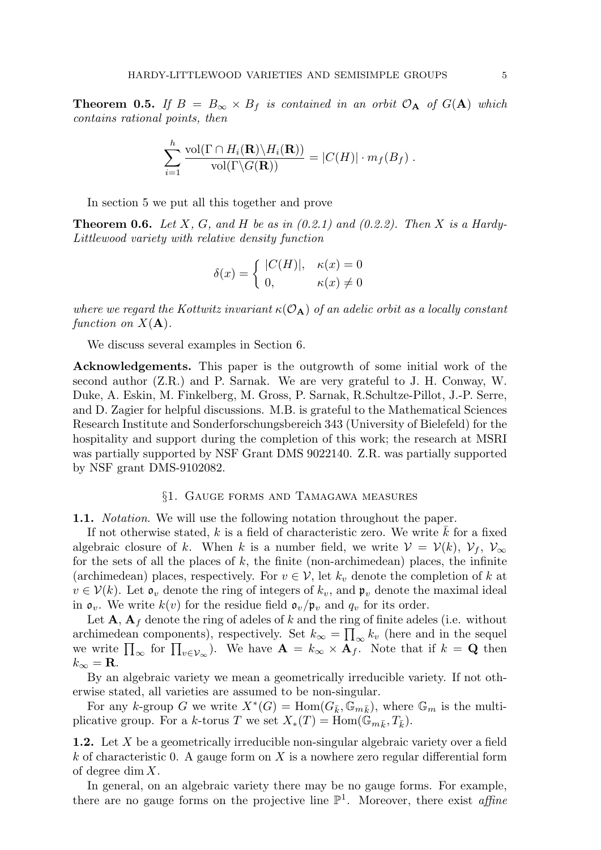**Theorem 0.5.** If  $B = B_{\infty} \times B_f$  is contained in an orbit  $\mathcal{O}_A$  of  $G(A)$  which contains rational points, then

$$
\sum_{i=1}^h \frac{\text{vol}(\Gamma \cap H_i(\mathbf{R}) \backslash H_i(\mathbf{R}))}{\text{vol}(\Gamma \backslash G(\mathbf{R}))} = |C(H)| \cdot m_f(B_f) .
$$

In section 5 we put all this together and prove

**Theorem 0.6.** Let X, G, and H be as in  $(0.2.1)$  and  $(0.2.2)$ . Then X is a Hardy-Littlewood variety with relative density function

$$
\delta(x) = \begin{cases} |C(H)|, & \kappa(x) = 0\\ 0, & \kappa(x) \neq 0 \end{cases}
$$

where we regard the Kottwitz invariant  $\kappa(\mathcal{O}_A)$  of an adelic orbit as a locally constant function on  $X(\mathbf{A})$ .

We discuss several examples in Section 6.

Acknowledgements. This paper is the outgrowth of some initial work of the second author (Z.R.) and P. Sarnak. We are very grateful to J. H. Conway, W. Duke, A. Eskin, M. Finkelberg, M. Gross, P. Sarnak, R.Schultze-Pillot, J.-P. Serre, and D. Zagier for helpful discussions. M.B. is grateful to the Mathematical Sciences Research Institute and Sonderforschungsbereich 343 (University of Bielefeld) for the hospitality and support during the completion of this work; the research at MSRI was partially supported by NSF Grant DMS 9022140. Z.R. was partially supported by NSF grant DMS-9102082.

# §1. Gauge forms and Tamagawa measures

1.1. *Notation*. We will use the following notation throughout the paper.

If not otherwise stated,  $k$  is a field of characteristic zero. We write  $k$  for a fixed algebraic closure of k. When k is a number field, we write  $V = V(k)$ ,  $V_f$ ,  $V_{\infty}$ for the sets of all the places of  $k$ , the finite (non-archimedean) places, the infinite (archimedean) places, respectively. For  $v \in V$ , let  $k_v$  denote the completion of k at  $v \in V(k)$ . Let  $\mathfrak{o}_v$  denote the ring of integers of  $k_v$ , and  $\mathfrak{p}_v$  denote the maximal ideal in  $\mathfrak{o}_v$ . We write  $k(v)$  for the residue field  $\mathfrak{o}_v/\mathfrak{p}_v$  and  $q_v$  for its order.

Let  $\mathbf{A}, \mathbf{A}_f$  denote the ring of adeles of k and the ring of finite adeles (i.e. without archimedean components), respectively. Set  $k_{\infty} = \prod_{\infty} k_v$  (here and in the sequel we write  $\prod_{\infty}$  for  $\prod_{v \in \mathcal{V}_{\infty}}$ ). We have  $\mathbf{A} = k_{\infty} \times \mathbf{A}_f$ . Note that if  $k = \mathbf{Q}$  then  $k_{\infty} = \mathbf{R}$ .

By an algebraic variety we mean a geometrically irreducible variety. If not otherwise stated, all varieties are assumed to be non-singular.

For any k-group G we write  $X^*(G) = \text{Hom}(G_{\bar{k}}, \tilde{\mathbb{G}}_{m\bar{k}})$ , where  $\mathbb{G}_m$  is the multiplicative group. For a k-torus T we set  $X_*(T) = \text{Hom}(\mathbb{G}_{m\bar{k}}, T_{\bar{k}})$ .

1.2. Let X be a geometrically irreducible non-singular algebraic variety over a field k of characteristic 0. A gauge form on  $X$  is a nowhere zero regular differential form of degree dim  $X$ .

In general, on an algebraic variety there may be no gauge forms. For example, there are no gauge forms on the projective line  $\mathbb{P}^1$ . Moreover, there exist affine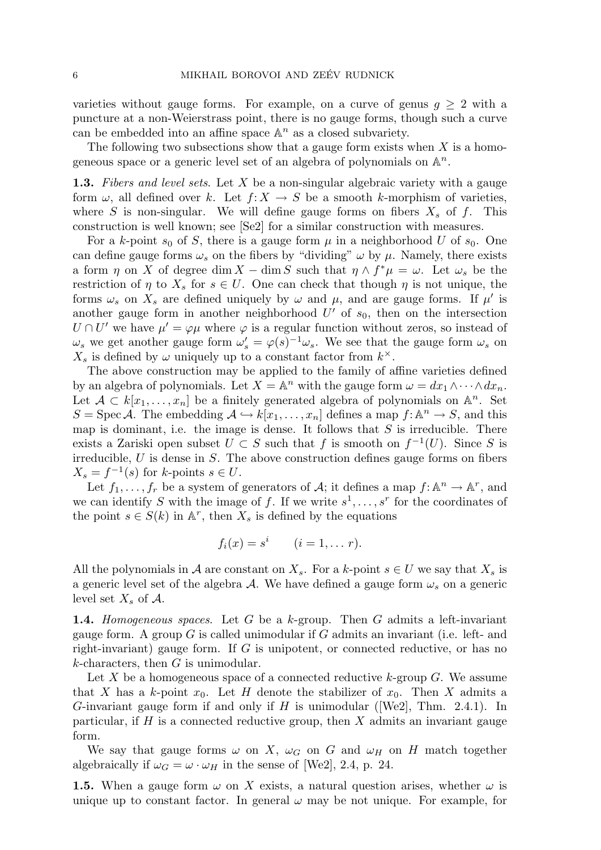varieties without gauge forms. For example, on a curve of genus  $g \geq 2$  with a puncture at a non-Weierstrass point, there is no gauge forms, though such a curve can be embedded into an affine space  $\mathbb{A}^n$  as a closed subvariety.

The following two subsections show that a gauge form exists when  $X$  is a homogeneous space or a generic level set of an algebra of polynomials on  $\mathbb{A}^n$ .

**1.3.** Fibers and level sets. Let X be a non-singular algebraic variety with a gauge form  $\omega$ , all defined over k. Let  $f: X \to S$  be a smooth k-morphism of varieties, where S is non-singular. We will define gauge forms on fibers  $X_s$  of f. This construction is well known; see [Se2] for a similar construction with measures.

For a k-point  $s_0$  of S, there is a gauge form  $\mu$  in a neighborhood U of  $s_0$ . One can define gauge forms  $\omega_s$  on the fibers by "dividing"  $\omega$  by  $\mu$ . Namely, there exists a form  $\eta$  on X of degree dim X – dim S such that  $\eta \wedge f^*\mu = \omega$ . Let  $\omega_s$  be the restriction of  $\eta$  to  $X_s$  for  $s \in U$ . One can check that though  $\eta$  is not unique, the forms  $\omega_s$  on  $X_s$  are defined uniquely by  $\omega$  and  $\mu$ , and are gauge forms. If  $\mu'$  is another gauge form in another neighborhood  $U'$  of  $s_0$ , then on the intersection  $U \cap U'$  we have  $\mu' = \varphi \mu$  where  $\varphi$  is a regular function without zeros, so instead of  $\omega_s$  we get another gauge form  $\omega'_s = \varphi(s)^{-1} \omega_s$ . We see that the gauge form  $\omega_s$  on  $X_s$  is defined by  $\omega$  uniquely up to a constant factor from  $k^{\times}$ .

The above construction may be applied to the family of affine varieties defined by an algebra of polynomials. Let  $X = \mathbb{A}^n$  with the gauge form  $\omega = dx_1 \wedge \cdots \wedge dx_n$ . Let  $A \subset k[x_1,\ldots,x_n]$  be a finitely generated algebra of polynomials on  $\mathbb{A}^n$ . Set  $S = \operatorname{Spec} \mathcal{A}$ . The embedding  $\mathcal{A} \hookrightarrow k[x_1, \ldots, x_n]$  defines a map  $f: \mathbb{A}^n \to S$ , and this map is dominant, i.e. the image is dense. It follows that  $S$  is irreducible. There exists a Zariski open subset  $U \subset S$  such that f is smooth on  $f^{-1}(U)$ . Since S is irreducible,  $U$  is dense in  $S$ . The above construction defines gauge forms on fibers  $X_s = f^{-1}(s)$  for k-points  $s \in U$ .

Let  $f_1, \ldots, f_r$  be a system of generators of  $\mathcal{A}$ ; it defines a map  $f: \mathbb{A}^n \to \mathbb{A}^r$ , and we can identify S with the image of f. If we write  $s^1, \ldots, s^r$  for the coordinates of the point  $s \in S(k)$  in  $\mathbb{A}^r$ , then  $X_s$  is defined by the equations

$$
f_i(x) = s^i \qquad (i = 1, \ldots r).
$$

All the polynomials in A are constant on  $X_s$ . For a k-point  $s \in U$  we say that  $X_s$  is a generic level set of the algebra A. We have defined a gauge form  $\omega_s$  on a generic level set  $X_s$  of  $A$ .

**1.4.** Homogeneous spaces. Let G be a k-group. Then G admits a left-invariant gauge form. A group  $G$  is called unimodular if  $G$  admits an invariant (i.e. left- and right-invariant) gauge form. If G is unipotent, or connected reductive, or has no  $k$ -characters, then  $G$  is unimodular.

Let X be a homogeneous space of a connected reductive  $k$ -group  $G$ . We assume that X has a k-point  $x_0$ . Let H denote the stabilizer of  $x_0$ . Then X admits a G-invariant gauge form if and only if H is unimodular ([We2], Thm. 2.4.1). In particular, if  $H$  is a connected reductive group, then  $X$  admits an invariant gauge form.

We say that gauge forms  $\omega$  on X,  $\omega_G$  on G and  $\omega_H$  on H match together algebraically if  $\omega_G = \omega \cdot \omega_H$  in the sense of [We2], 2.4, p. 24.

**1.5.** When a gauge form  $\omega$  on X exists, a natural question arises, whether  $\omega$  is unique up to constant factor. In general  $\omega$  may be not unique. For example, for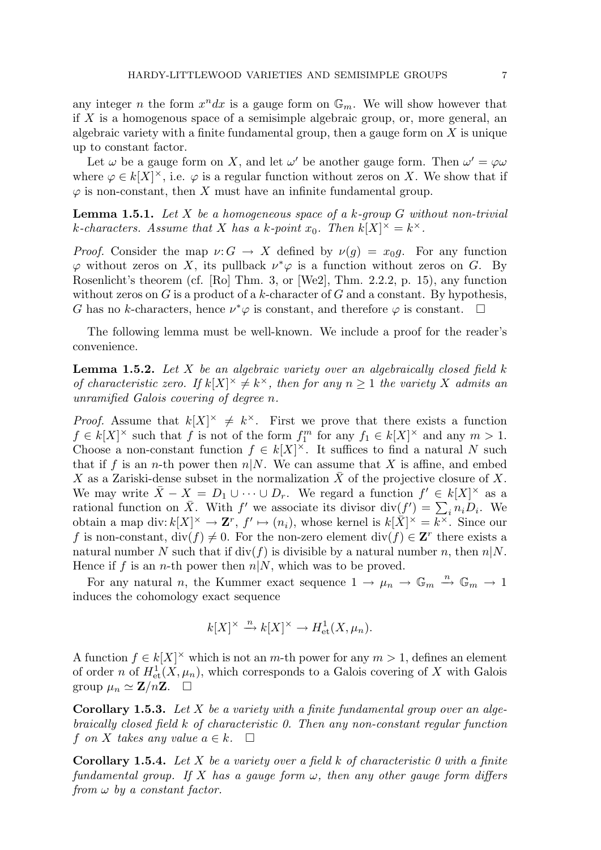any integer *n* the form  $x^n dx$  is a gauge form on  $\mathbb{G}_m$ . We will show however that if  $X$  is a homogenous space of a semisimple algebraic group, or, more general, an algebraic variety with a finite fundamental group, then a gauge form on  $X$  is unique up to constant factor.

Let  $\omega$  be a gauge form on X, and let  $\omega'$  be another gauge form. Then  $\omega' = \varphi \omega$ where  $\varphi \in k[X]^{\times}$ , i.e.  $\varphi$  is a regular function without zeros on X. We show that if  $\varphi$  is non-constant, then X must have an infinite fundamental group.

**Lemma 1.5.1.** Let X be a homogeneous space of a k-group  $G$  without non-trivial k-characters. Assume that X has a k-point  $x_0$ . Then  $k[X]^\times = k^\times$ .

*Proof.* Consider the map  $\nu: G \to X$  defined by  $\nu(q) = x_0 q$ . For any function  $\varphi$  without zeros on X, its pullback  $\nu^*\varphi$  is a function without zeros on G. By Rosenlicht's theorem (cf. [Ro] Thm. 3, or [We2], Thm. 2.2.2, p. 15), any function without zeros on G is a product of a k-character of G and a constant. By hypothesis, G has no k-characters, hence  $\nu^*\varphi$  is constant, and therefore  $\varphi$  is constant.  $\Box$ 

The following lemma must be well-known. We include a proof for the reader's convenience.

**Lemma 1.5.2.** Let  $X$  be an algebraic variety over an algebraically closed field  $k$ of characteristic zero. If  $k[X]^{\times} \neq k^{\times}$ , then for any  $n \geq 1$  the variety X admits an unramified Galois covering of degree n.

*Proof.* Assume that  $k[X]^{\times} \neq k^{\times}$ . First we prove that there exists a function  $f \in k[X]^\times$  such that f is not of the form  $f_1^m$  for any  $f_1 \in k[X]^\times$  and any  $m > 1$ . Choose a non-constant function  $f \in k[X]^{\times}$ . It suffices to find a natural N such that if f is an *n*-th power then  $n|N$ . We can assume that X is affine, and embed X as a Zariski-dense subset in the normalization X of the projective closure of X. We may write  $\bar{X} - X = D_1 \cup \cdots \cup D_r$ . We regard a function  $f' \in k[X]^{\times}$  as a rational function on  $\bar{X}$ . With  $f'$  we associate its divisor  $\text{div}(f') = \sum_i n_i D_i$ . We obtain a map div:  $k[X]^{\times} \to \mathbf{Z}^r$ ,  $f' \mapsto (n_i)$ , whose kernel is  $k[\overline{X}]^{\times} = k^{\times}$ . Since our f is non-constant,  $\text{div}(f) \neq 0$ . For the non-zero element  $\text{div}(f) \in \mathbf{Z}^r$  there exists a natural number N such that if  $div(f)$  is divisible by a natural number n, then  $n|N$ . Hence if f is an *n*-th power then  $n|N$ , which was to be proved.

For any natural *n*, the Kummer exact sequence  $1 \to \mu_n \to \mathbb{G}_m \stackrel{n}{\to} \mathbb{G}_m \to 1$ induces the cohomology exact sequence

$$
k[X]^\times \xrightarrow{n} k[X]^\times \to H^1_{\text{et}}(X, \mu_n).
$$

A function  $f \in k[X]^{\times}$  which is not an m-th power for any  $m > 1$ , defines an element of order n of  $H^1_{\text{et}}(X, \mu_n)$ , which corresponds to a Galois covering of X with Galois group  $\mu_n \simeq \mathbf{Z}/n\mathbf{Z}$ .  $\Box$ 

**Corollary 1.5.3.** Let X be a variety with a finite fundamental group over an algebraically closed field k of characteristic 0. Then any non-constant regular function f on X takes any value  $a \in k$ .  $\Box$ 

**Corollary 1.5.4.** Let X be a variety over a field k of characteristic 0 with a finite fundamental group. If X has a gauge form  $\omega$ , then any other gauge form differs from  $\omega$  by a constant factor.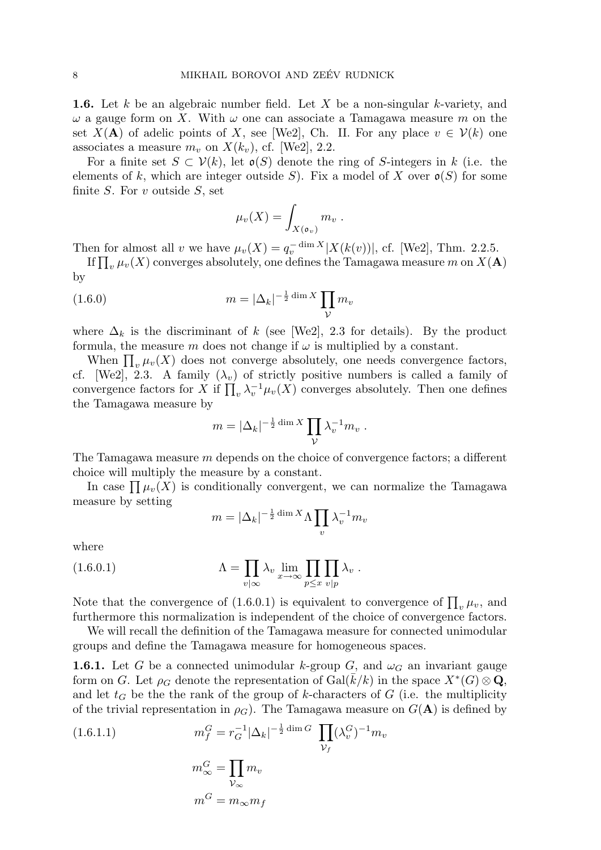**1.6.** Let k be an algebraic number field. Let X be a non-singular k-variety, and  $\omega$  a gauge form on X. With  $\omega$  one can associate a Tamagawa measure m on the set  $X(A)$  of adelic points of X, see [We2], Ch. II. For any place  $v \in V(k)$  one associates a measure  $m_v$  on  $X(k_v)$ , cf. [We2], 2.2.

For a finite set  $S \subset V(k)$ , let  $\mathfrak{o}(S)$  denote the ring of S-integers in k (i.e. the elements of k, which are integer outside S). Fix a model of X over  $\mathfrak{o}(S)$  for some finite  $S$ . For  $v$  outside  $S$ , set

$$
\mu_v(X) = \int_{X(\mathfrak{o}_v)} m_v.
$$

Then for almost all v we have  $\mu_v(X) = q_v^{-\dim X}|X(k(v))|$ , cf. [We2], Thm. 2.2.5.

If  $\prod_v \mu_v(X)$  converges absolutely, one defines the Tamagawa measure  $m$  on  $X({\mathbf A})$ by

(1.6.0) 
$$
m = |\Delta_k|^{-\frac{1}{2}\dim X} \prod_{\mathcal{V}} m_v
$$

where  $\Delta_k$  is the discriminant of k (see [We2], 2.3 for details). By the product formula, the measure m does not change if  $\omega$  is multiplied by a constant.

When  $\prod_{v} \mu_v(X)$  does not converge absolutely, one needs convergence factors, cf. [We2], 2.3. A family  $(\lambda_v)$  of strictly positive numbers is called a family of convergence factors for X if  $\prod_v \lambda_v^{-1} \mu_v(X)$  converges absolutely. Then one defines the Tamagawa measure by

$$
m = |\Delta_k|^{-\frac{1}{2}\dim X} \prod_{\mathcal{V}} \lambda_v^{-1} m_v.
$$

The Tamagawa measure m depends on the choice of convergence factors; a different choice will multiply the measure by a constant.

In case  $\prod \mu_v(X)$  is conditionally convergent, we can normalize the Tamagawa measure by setting

$$
m = |\Delta_k|^{-\frac{1}{2}\dim X} \Lambda \prod_v \lambda_v^{-1} m_v
$$

where

(1.6.0.1) 
$$
\Lambda = \prod_{v \mid \infty} \lambda_v \lim_{x \to \infty} \prod_{p \leq x} \prod_{v \mid p} \lambda_v.
$$

Note that the convergence of  $(1.6.0.1)$  is equivalent to convergence of  $\prod_{v} \mu_v$ , and furthermore this normalization is independent of the choice of convergence factors.

We will recall the definition of the Tamagawa measure for connected unimodular groups and define the Tamagawa measure for homogeneous spaces.

**1.6.1.** Let G be a connected unimodular k-group G, and  $\omega_G$  an invariant gauge form on G. Let  $\rho_G$  denote the representation of  $Gal(\bar{k}/k)$  in the space  $X^*(G) \otimes \mathbf{Q}$ , and let  $t_G$  be the rank of the group of k-characters of G (i.e. the multiplicity of the trivial representation in  $\rho_G$ ). The Tamagawa measure on  $G(\mathbf{A})$  is defined by

(1.6.1.1) 
$$
m_f^G = r_G^{-1} |\Delta_k|^{-\frac{1}{2} \dim G} \prod_{\mathcal{V}_f} (\lambda_v^G)^{-1} m_v
$$

$$
m_\infty^G = \prod_{\mathcal{V}_\infty} m_v
$$

$$
m^G = m_\infty m_f
$$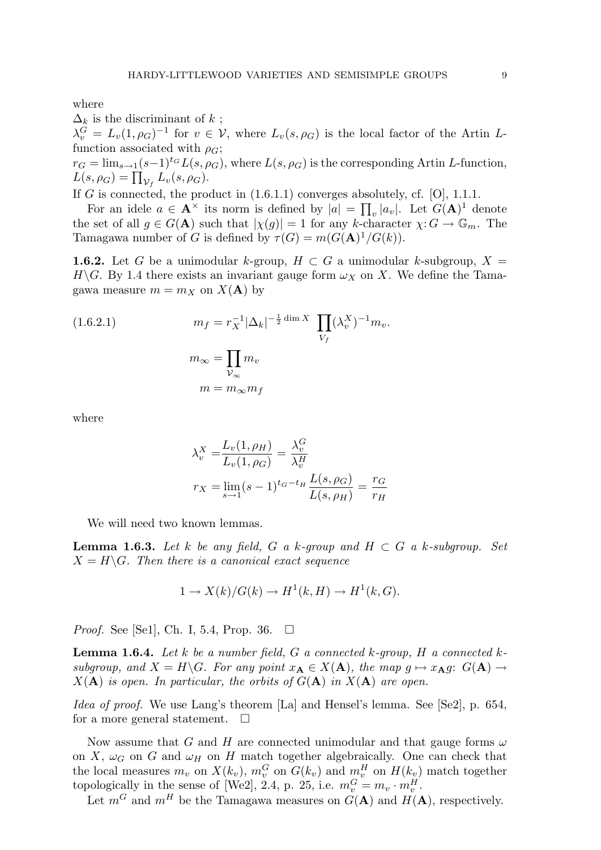where

 $\Delta_k$  is the discriminant of k;  $\lambda_v^G = L_v(1, \rho_G)^{-1}$  for  $v \in V$ , where  $L_v(s, \rho_G)$  is the local factor of the Artin Lfunction associated with  $\rho_G$ ;

 $r_G = \lim_{s\to 1} (s-1)^{t_G} L(s, \rho_G)$ , where  $L(s, \rho_G)$  is the corresponding Artin L-function,  $L(s, \rho_G) = \prod_{\mathcal{V}_f} L_v(s, \rho_G).$ 

If G is connected, the product in  $(1.6.1.1)$  converges absolutely, cf.  $[O], 1.1.1$ .

For an idele  $a \in \mathbf{A}^{\times}$  its norm is defined by  $|a| = \prod_{v} |a_v|$ . Let  $G(\mathbf{A})^1$  denote the set of all  $g \in G(\mathbf{A})$  such that  $|\chi(g)| = 1$  for any k-character  $\chi: G \to \mathbb{G}_m$ . The Tamagawa number of G is defined by  $\tau(G) = m(G(A)^1/G(k)).$ 

**1.6.2.** Let G be a unimodular k-group,  $H \subset G$  a unimodular k-subgroup,  $X =$  $H\backslash G$ . By 1.4 there exists an invariant gauge form  $\omega_X$  on X. We define the Tamagawa measure  $m = m_X$  on  $X(\mathbf{A})$  by

(1.6.2.1) 
$$
m_f = r_X^{-1} |\Delta_k|^{-\frac{1}{2} \dim X} \prod_{V_f} (\lambda_v^X)^{-1} m_v.
$$

$$
m_{\infty} = \prod_{V_{\infty}} m_v
$$

$$
m = m_{\infty} m_f
$$

where

$$
\lambda_v^X = \frac{L_v(1, \rho_H)}{L_v(1, \rho_G)} = \frac{\lambda_v^G}{\lambda_v^H}
$$
  

$$
r_X = \lim_{s \to 1} (s - 1)^{t_G - t_H} \frac{L(s, \rho_G)}{L(s, \rho_H)} = \frac{r_G}{r_H}
$$

We will need two known lemmas.

**Lemma 1.6.3.** Let k be any field, G a k-group and  $H \subset G$  a k-subgroup. Set  $X = H \backslash G$ . Then there is a canonical exact sequence

$$
1 \to X(k)/G(k) \to H^1(k, H) \to H^1(k, G).
$$

*Proof.* See [Se1], Ch. I, 5.4, Prop. 36.  $\Box$ 

**Lemma 1.6.4.** Let k be a number field, G a connected k-group, H a connected ksubgroup, and  $X = H\backslash G$ . For any point  $x_A \in X(A)$ , the map  $g \mapsto x_A g: G(A) \rightarrow$  $X(A)$  is open. In particular, the orbits of  $G(A)$  in  $X(A)$  are open.

Idea of proof. We use Lang's theorem [La] and Hensel's lemma. See [Se2], p. 654, for a more general statement.  $\square$ 

Now assume that G and H are connected unimodular and that gauge forms  $\omega$ on X,  $\omega_G$  on G and  $\omega_H$  on H match together algebraically. One can check that the local measures  $m_v$  on  $X(k_v)$ ,  $m_v^G$  on  $G(k_v)$  and  $m_v^H$  on  $H(k_v)$  match together topologically in the sense of [We2], 2.4, p. 25, i.e.  $m_v^G = m_v \cdot m_v^H$ .

Let  $m<sup>G</sup>$  and  $m<sup>H</sup>$  be the Tamagawa measures on  $G(A)$  and  $H(A)$ , respectively.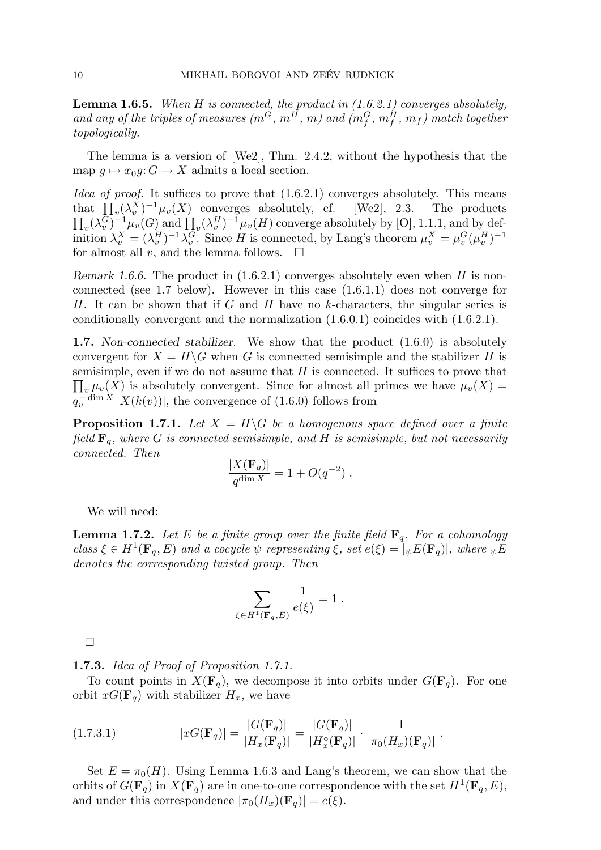**Lemma 1.6.5.** When H is connected, the product in  $(1.6.2.1)$  converges absolutely, and any of the triples of measures  $(m^G, m^H, m)$  and  $(m_f^G, m_f^H, m_f)$  match together topologically.

The lemma is a version of [We2], Thm. 2.4.2, without the hypothesis that the map  $g \mapsto x_0g: G \to X$  admits a local section.

Idea of proof. It suffices to prove that  $(1.6.2.1)$  converges absolutely. This means that  $\prod_{v} (\lambda_v^X)^{-1} \mu_v(X)$  converges absolutely, cf. [We2], 2.3. The products  $\prod_{v} (\lambda_v^G)^{-1} \mu_v(G)$  and  $\prod_{v} (\lambda_v^H)^{-1} \mu_v(H)$  converge absolutely by [O], 1.1.1, and by definition  $\lambda_v^X = (\lambda_v^H)^{-1} \lambda_v^G$ . Since H is connected, by Lang's theorem  $\mu_v^X = \mu_v^G (\mu_v^H)^{-1}$ for almost all v, and the lemma follows.  $\square$ 

Remark 1.6.6. The product in  $(1.6.2.1)$  converges absolutely even when H is nonconnected (see 1.7 below). However in this case (1.6.1.1) does not converge for H. It can be shown that if G and H have no k-characters, the singular series is conditionally convergent and the normalization (1.6.0.1) coincides with (1.6.2.1).

1.7. Non-connected stabilizer. We show that the product (1.6.0) is absolutely convergent for  $X = H\backslash G$  when G is connected semisimple and the stabilizer H is  $\prod_{v} \mu_v(X)$  is absolutely convergent. Since for almost all primes we have  $\mu_v(X) =$ semisimple, even if we do not assume that  $H$  is connected. It suffices to prove that  $q_v^{-\dim X} |X(k(v))|$ , the convergence of (1.6.0) follows from

**Proposition 1.7.1.** Let  $X = H \backslash G$  be a homogenous space defined over a finite field  $\mathbf{F}_q$ , where G is connected semisimple, and H is semisimple, but not necessarily connected. Then

$$
\frac{|X(\mathbf{F}_q)|}{q^{\dim X}} = 1 + O(q^{-2}).
$$

We will need:

**Lemma 1.7.2.** Let E be a finite group over the finite field  $\mathbf{F}_q$ . For a cohomology class  $\xi \in H^1(\mathbf{F}_q, E)$  and a cocycle  $\psi$  representing  $\xi$ , set  $e(\xi) = |\psi E(\mathbf{F}_q)|$ , where  $\psi E$ denotes the corresponding twisted group. Then

$$
\sum_{\xi \in H^1(\mathbf{F}_q,E)} \frac{1}{e(\xi)} = 1.
$$

 $\Box$ 

1.7.3. Idea of Proof of Proposition 1.7.1.

To count points in  $X(\mathbf{F}_q)$ , we decompose it into orbits under  $G(\mathbf{F}_q)$ . For one orbit  $xG(\mathbf{F}_q)$  with stabilizer  $H_x$ , we have

(1.7.3.1) 
$$
|xG(\mathbf{F}_q)| = \frac{|G(\mathbf{F}_q)|}{|H_x(\mathbf{F}_q)|} = \frac{|G(\mathbf{F}_q)|}{|H_x^{\circ}(\mathbf{F}_q)|} \cdot \frac{1}{|\pi_0(H_x)(\mathbf{F}_q)|}.
$$

Set  $E = \pi_0(H)$ . Using Lemma 1.6.3 and Lang's theorem, we can show that the orbits of  $G(\mathbf{F}_q)$  in  $X(\mathbf{F}_q)$  are in one-to-one correspondence with the set  $H^1(\mathbf{F}_q, E)$ , and under this correspondence  $|\pi_0(H_x)(\mathbf{F}_q)| = e(\xi)$ .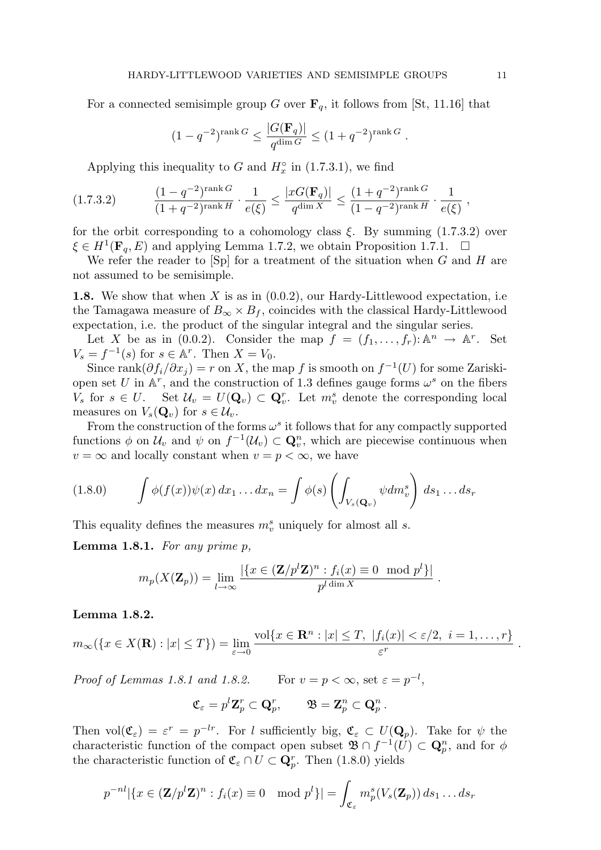For a connected semisimple group G over  $\mathbf{F}_q$ , it follows from [St, 11.16] that

$$
(1 - q^{-2})^{\text{rank }G} \le \frac{|G(\mathbf{F}_q)|}{q^{\dim G}} \le (1 + q^{-2})^{\text{rank }G}.
$$

Applying this inequality to G and  $H_x^{\circ}$  in (1.7.3.1), we find

$$
(1.7.3.2) \qquad \frac{(1-q^{-2})^{\text{rank }G}}{(1+q^{-2})^{\text{rank }H}} \cdot \frac{1}{e(\xi)} \le \frac{|xG(\mathbf{F}_q)|}{q^{\dim X}} \le \frac{(1+q^{-2})^{\text{rank }G}}{(1-q^{-2})^{\text{rank }H}} \cdot \frac{1}{e(\xi)},
$$

for the orbit corresponding to a cohomology class  $\xi$ . By summing (1.7.3.2) over  $\xi \in H^1(\mathbf{F}_q, E)$  and applying Lemma 1.7.2, we obtain Proposition 1.7.1.  $\Box$ 

We refer the reader to  $\text{[Sp]}$  for a treatment of the situation when G and H are not assumed to be semisimple.

**1.8.** We show that when X is as in  $(0.0.2)$ , our Hardy-Littlewood expectation, i.e. the Tamagawa measure of  $B_{\infty} \times B_f$ , coincides with the classical Hardy-Littlewood expectation, i.e. the product of the singular integral and the singular series.

Let X be as in (0.0.2). Consider the map  $f = (f_1, \ldots, f_r): \mathbb{A}^n \to \mathbb{A}^r$ . Set  $V_s = f^{-1}(s)$  for  $s \in \mathbb{A}^r$ . Then  $X = V_0$ .

Since  $\text{rank}(\partial f_i/\partial x_j) = r$  on X, the map f is smooth on  $f^{-1}(U)$  for some Zariskiopen set U in  $A^r$ , and the construction of 1.3 defines gauge forms  $\omega^s$  on the fibers  $V_s$  for  $s \in U$ . Set  $\mathcal{U}_v = U(\mathbf{Q}_v) \subset \mathbf{Q}_v^r$ . Let  $m_v^s$  denote the corresponding local measures on  $V_s(\mathbf{Q}_v)$  for  $s \in \mathcal{U}_v$ .

From the construction of the forms  $\omega^s$  it follows that for any compactly supported functions  $\phi$  on  $\mathcal{U}_v$  and  $\psi$  on  $f^{-1}(\mathcal{U}_v) \subset \mathbf{Q}_v^n$ , which are piecewise continuous when  $v = \infty$  and locally constant when  $v = p < \infty$ , we have

$$
(1.8.0) \qquad \int \phi(f(x))\psi(x)\,dx_1\ldots dx_n = \int \phi(s)\left(\int_{V_s(\mathbf{Q}_v)}\psi dm_v^s\right)\,ds_1\ldots ds_r
$$

This equality defines the measures  $m_v^s$  uniquely for almost all s.

**Lemma 1.8.1.** For any prime  $p$ ,

$$
m_p(X(\mathbf{Z}_p)) = \lim_{l \to \infty} \frac{|\{x \in (\mathbf{Z}/p^l\mathbf{Z})^n : f_i(x) \equiv 0 \mod p^l\}|}{p^{l \dim X}}
$$

.

.

## Lemma 1.8.2.

$$
m_{\infty}(\{x \in X(\mathbf{R}) : |x| \leq T\}) = \lim_{\varepsilon \to 0} \frac{\text{vol}\{x \in \mathbf{R}^n : |x| \leq T, |f_i(x)| < \varepsilon/2, \ i = 1, \dots, r\}}{\varepsilon^r}
$$

Proof of Lemmas  $1.8.1$  and  $1.8.2$ .  $l^{-}$ 

$$
\mathfrak{C}_{\varepsilon} = p^l \mathbf{Z}_p^r \subset \mathbf{Q}_p^r, \qquad \mathfrak{B} = \mathbf{Z}_p^n \subset \mathbf{Q}_p^n.
$$

Then  $vol(\mathfrak{C}_{\varepsilon}) = \varepsilon^r = p^{-lr}$ . For l sufficiently big,  $\mathfrak{C}_{\varepsilon} \subset U(\mathbf{Q}_p)$ . Take for  $\psi$  the characteristic function of the compact open subset  $\mathfrak{B} \cap f^{-1}(U) \subset \mathbf{Q}_p^n$ , and for  $\phi$ the characteristic function of  $\mathfrak{C}_{\varepsilon} \cap U \subset \mathbf{Q}_{p}^{r}$ . Then (1.8.0) yields

$$
p^{-nl}|\{x\in (\mathbf{Z}/p^l\mathbf{Z})^n : f_i(x)\equiv 0\mod p^l\}| = \int_{\mathfrak{C}_{\varepsilon}} m_p^s(V_s(\mathbf{Z}_p)) ds_1 \dots ds_r
$$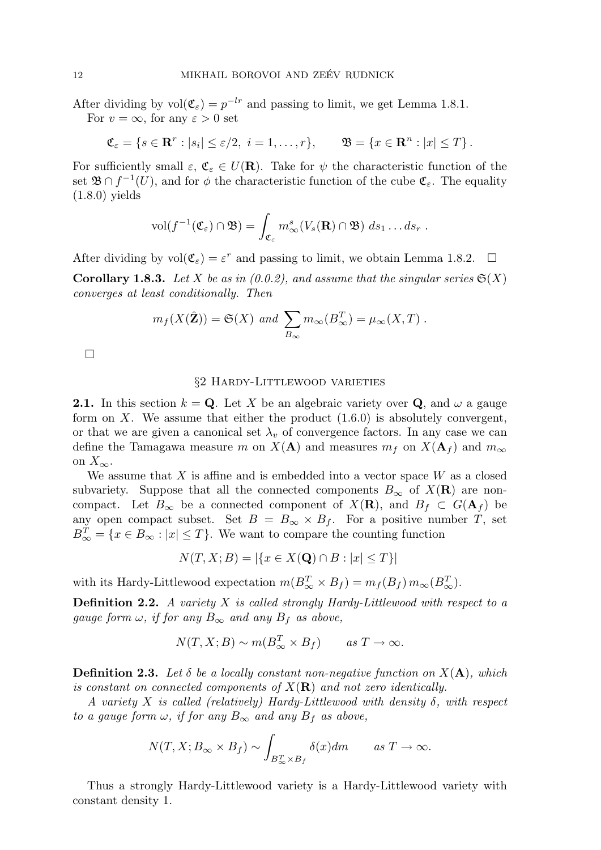After dividing by  $vol(\mathfrak{C}_{\varepsilon}) = p^{-lr}$  and passing to limit, we get Lemma 1.8.1. For  $v = \infty$ , for any  $\varepsilon > 0$  set

$$
\mathfrak{C}_{\varepsilon} = \{ s \in \mathbf{R}^r : |s_i| \leq \varepsilon/2, \ i = 1, \dots, r \}, \qquad \mathfrak{B} = \{ x \in \mathbf{R}^n : |x| \leq T \}.
$$

For sufficiently small  $\varepsilon, \mathfrak{C}_{\varepsilon} \in U(\mathbf{R})$ . Take for  $\psi$  the characteristic function of the set  $\mathfrak{B} \cap f^{-1}(U)$ , and for  $\phi$  the characteristic function of the cube  $\mathfrak{C}_{\varepsilon}$ . The equality  $(1.8.0)$  yields

$$
\text{vol}(f^{-1}(\mathfrak{C}_{\varepsilon})\cap \mathfrak{B})=\int_{\mathfrak{C}_{\varepsilon}} m_{\infty}^s(V_s(\mathbf{R})\cap \mathfrak{B})\ ds_1\dots ds_r.
$$

After dividing by  $vol(\mathfrak{C}_{\varepsilon}) = \varepsilon^r$  and passing to limit, we obtain Lemma 1.8.2.  $\square$ 

**Corollary 1.8.3.** Let X be as in (0.0.2), and assume that the singular series  $\mathfrak{S}(X)$ converges at least conditionally. Then

$$
m_f(X(\hat{\mathbf{Z}})) = \mathfrak{S}(X)
$$
 and  $\sum_{B_{\infty}} m_{\infty}(B_{\infty}^T) = \mu_{\infty}(X, T)$ .

 $\Box$ 

### §2 Hardy-Littlewood varieties

**2.1.** In this section  $k = \mathbf{Q}$ . Let X be an algebraic variety over  $\mathbf{Q}$ , and  $\omega$  a gauge form on X. We assume that either the product  $(1.6.0)$  is absolutely convergent, or that we are given a canonical set  $\lambda_v$  of convergence factors. In any case we can define the Tamagawa measure m on  $X(A)$  and measures  $m_f$  on  $X(A_f)$  and  $m_\infty$ on  $X_{\infty}$ .

We assume that X is affine and is embedded into a vector space  $W$  as a closed subvariety. Suppose that all the connected components  $B_{\infty}$  of  $X(\mathbf{R})$  are noncompact. Let  $B_{\infty}$  be a connected component of  $X(\mathbf{R})$ , and  $B_f \subset G(\mathbf{A}_f)$  be any open compact subset. Set  $B = B_{\infty} \times B_f$ . For a positive number T, set  $B_{\infty}^T = \{x \in B_{\infty} : |x| \leq T\}$ . We want to compare the counting function

 $N(T, X; B) = |\{x \in X(\mathbf{Q}) \cap B : |x| \leq T\}|$ 

with its Hardy-Littlewood expectation  $m(B_{\infty}^T \times B_f) = m_f(B_f) m_{\infty}(B_{\infty}^T)$ .

**Definition 2.2.** A variety  $X$  is called strongly Hardy-Littlewood with respect to a gauge form  $\omega$ , if for any  $B_{\infty}$  and any  $B_f$  as above,

$$
N(T, X; B) \sim m(B_{\infty}^T \times B_f) \quad \text{as } T \to \infty.
$$

**Definition 2.3.** Let  $\delta$  be a locally constant non-negative function on  $X(\mathbf{A})$ , which is constant on connected components of  $X(\mathbf{R})$  and not zero identically.

A variety X is called (relatively) Hardy-Littlewood with density  $\delta$ , with respect to a gauge form  $\omega$ , if for any  $B_{\infty}$  and any  $B_f$  as above,

$$
N(T, X; B_{\infty} \times B_f) \sim \int_{B_{\infty}^T \times B_f} \delta(x) dm \quad \text{as } T \to \infty.
$$

Thus a strongly Hardy-Littlewood variety is a Hardy-Littlewood variety with constant density 1.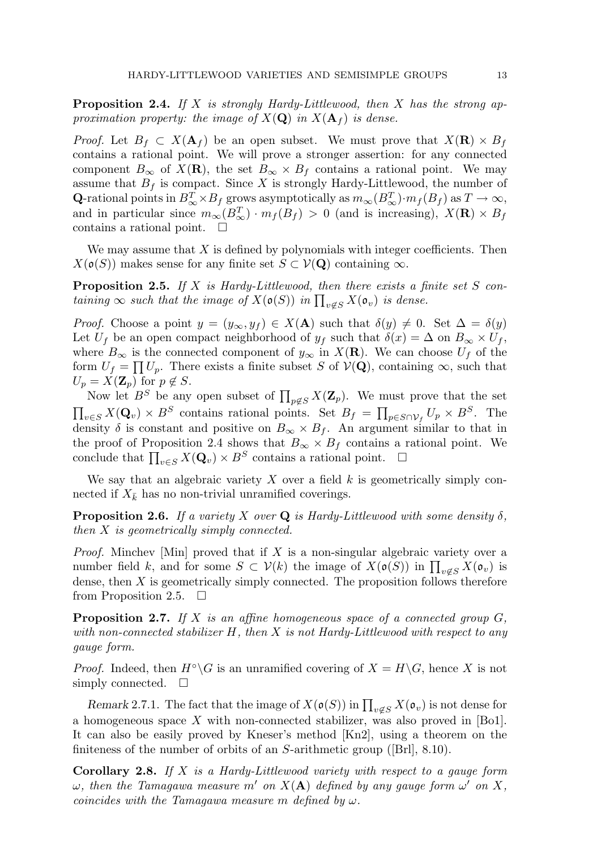**Proposition 2.4.** If X is strongly Hardy-Littlewood, then X has the strong approximation property: the image of  $X(Q)$  in  $X(A_f)$  is dense.

*Proof.* Let  $B_f \subset X(\mathbf{A}_f)$  be an open subset. We must prove that  $X(\mathbf{R}) \times B_f$ contains a rational point. We will prove a stronger assertion: for any connected component  $B_{\infty}$  of  $X(\mathbf{R})$ , the set  $B_{\infty} \times B_f$  contains a rational point. We may assume that  $B_f$  is compact. Since X is strongly Hardy-Littlewood, the number of Q-rational points in  $B_{\infty}^T \times B_f$  grows asymptotically as  $m_{\infty}(B_{\infty}^T) \cdot m_f(B_f)$  as  $T \to \infty$ , and in particular since  $m_{\infty}(B_{\infty}^T) \cdot m_f(B_f) > 0$  (and is increasing),  $X(\mathbf{R}) \times B_f$ contains a rational point.  $\quad \Box$ 

We may assume that  $X$  is defined by polynomials with integer coefficients. Then  $X(\mathfrak{o}(S))$  makes sense for any finite set  $S \subset \mathcal{V}(\mathbf{Q})$  containing  $\infty$ .

**Proposition 2.5.** If X is Hardy-Littlewood, then there exists a finite set S containing  $\infty$  such that the image of  $X(\mathfrak{o}(S))$  in  $\prod_{v \notin S} X(\mathfrak{o}_v)$  is dense.

*Proof.* Choose a point  $y = (y_{\infty}, y_f) \in X(\mathbf{A})$  such that  $\delta(y) \neq 0$ . Set  $\Delta = \delta(y)$ Let  $U_f$  be an open compact neighborhood of  $y_f$  such that  $\delta(x) = \Delta$  on  $B_\infty \times U_f$ , where  $B_{\infty}$  is the connected component of  $y_{\infty}$  in  $X(\mathbf{R})$ . We can choose  $U_f$  of the form  $U_f = \prod U_p$ . There exists a finite subset S of  $\mathcal{V}(\mathbf{Q})$ , containing  $\infty$ , such that  $U_p = X(\mathbf{Z}_p)$  for  $p \notin S$ .

Now let  $B^S$  be any open subset of  $\prod_{p \notin S} X(\mathbf{Z}_p)$ . We must prove that the set  $\prod_{v\in S} X(\mathbf{Q}_v) \times B^S$  contains rational points. Set  $B_f = \prod_{p\in S\cap V_f} U_p \times B^S$ . The density  $\delta$  is constant and positive on  $B_{\infty} \times B_f$ . An argument similar to that in the proof of Proposition 2.4 shows that  $B_{\infty} \times B_f$  contains a rational point. We conclude that  $\prod_{v \in S} X(\mathbf{Q}_v) \times B^S$  contains a rational point.  $\Box$ 

We say that an algebraic variety  $X$  over a field  $k$  is geometrically simply connected if  $X_{\bar{k}}$  has no non-trivial unramified coverings.

**Proposition 2.6.** If a variety X over  $Q$  is Hardy-Littlewood with some density  $\delta$ , then X is geometrically simply connected.

*Proof.* Minchev [Min] proved that if  $X$  is a non-singular algebraic variety over a number field k, and for some  $S \subset \mathcal{V}(k)$  the image of  $X(\mathfrak{o}(S))$  in  $\prod_{v \notin S} X(\mathfrak{o}_v)$  is dense, then  $X$  is geometrically simply connected. The proposition follows therefore from Proposition 2.5.  $\Box$ 

**Proposition 2.7.** If X is an affine homogeneous space of a connected group  $G$ , with non-connected stabilizer  $H$ , then  $X$  is not Hardy-Littlewood with respect to any gauge form.

*Proof.* Indeed, then  $H^{\circ} \backslash G$  is an unramified covering of  $X = H \backslash G$ , hence X is not simply connected.  $\square$ 

Remark 2.7.1. The fact that the image of  $X(\mathfrak{o}(S))$  in  $\prod_{v \notin S} X(\mathfrak{o}_v)$  is not dense for a homogeneous space X with non-connected stabilizer, was also proved in [Bo1]. It can also be easily proved by Kneser's method [Kn2], using a theorem on the finiteness of the number of orbits of an S-arithmetic group ([Brl], 8.10).

Corollary 2.8. If X is a Hardy-Littlewood variety with respect to a gauge form  $\omega$ , then the Tamagawa measure m' on  $X(A)$  defined by any gauge form  $\omega'$  on  $X$ , coincides with the Tamagawa measure m defined by  $\omega$ .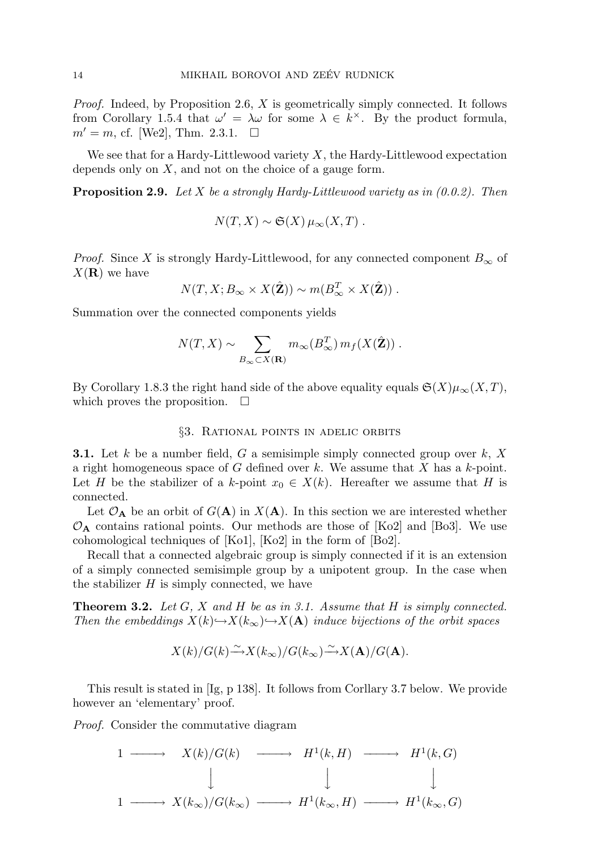*Proof.* Indeed, by Proposition 2.6,  $X$  is geometrically simply connected. It follows from Corollary 1.5.4 that  $\omega' = \lambda \omega$  for some  $\lambda \in k^{\times}$ . By the product formula,  $m' = m$ , cf. [We2], Thm. 2.3.1.  $\Box$ 

We see that for a Hardy-Littlewood variety  $X$ , the Hardy-Littlewood expectation depends only on  $X$ , and not on the choice of a gauge form.

**Proposition 2.9.** Let X be a strongly Hardy-Littlewood variety as in  $(0.0.2)$ . Then

$$
N(T, X) \sim \mathfrak{S}(X) \mu_{\infty}(X, T) .
$$

*Proof.* Since X is strongly Hardy-Littlewood, for any connected component  $B_{\infty}$  of  $X(\mathbf{R})$  we have

$$
N(T, X; B_{\infty} \times X(\hat{Z})) \sim m(B_{\infty}^T \times X(\hat{Z})) .
$$

Summation over the connected components yields

$$
N(T, X) \sim \sum_{B_{\infty} \subset X(\mathbf{R})} m_{\infty}(B_{\infty}^T) m_f(X(\hat{\mathbf{Z}})).
$$

By Corollary 1.8.3 the right hand side of the above equality equals  $\mathfrak{S}(X)\mu_{\infty}(X,T)$ , which proves the proposition.  $\Box$ 

#### §3. Rational points in adelic orbits

**3.1.** Let k be a number field, G a semisimple simply connected group over k, X a right homogeneous space of G defined over  $k$ . We assume that  $X$  has a  $k$ -point. Let H be the stabilizer of a k-point  $x_0 \in X(k)$ . Hereafter we assume that H is connected.

Let  $\mathcal{O}_{\mathbf{A}}$  be an orbit of  $G(\mathbf{A})$  in  $X(\mathbf{A})$ . In this section we are interested whether  $\mathcal{O}_{\mathbf{A}}$  contains rational points. Our methods are those of [Ko2] and [Bo3]. We use cohomological techniques of [Ko1], [Ko2] in the form of [Bo2].

Recall that a connected algebraic group is simply connected if it is an extension of a simply connected semisimple group by a unipotent group. In the case when the stabilizer  $H$  is simply connected, we have

**Theorem 3.2.** Let  $G$ ,  $X$  and  $H$  be as in 3.1. Assume that  $H$  is simply connected. Then the embeddings  $X(k) \hookrightarrow X(k_{\infty}) \hookrightarrow X(\mathbf{A})$  induce bijections of the orbit spaces

$$
X(k)/G(k) \tilde{\longrightarrow} X(k_{\infty})/G(k_{\infty}) \tilde{\longrightarrow} X(\mathbf{A})/G(\mathbf{A}).
$$

This result is stated in [Ig, p 138]. It follows from Corllary 3.7 below. We provide however an 'elementary' proof.

Proof. Consider the commutative diagram

$$
\begin{array}{ccccccc}\n1 & \xrightarrow{\hspace{2cm}} & X(k)/G(k) & \xrightarrow{\hspace{2cm}} & H^1(k, H) & \xrightarrow{\hspace{2cm}} & H^1(k, G) \\
\downarrow & & & \downarrow & & \downarrow & \\
1 & \xrightarrow{\hspace{2cm}} & X(k_{\infty})/G(k_{\infty}) & \xrightarrow{\hspace{2cm}} & H^1(k_{\infty}, H) & \xrightarrow{\hspace{2cm}} & H^1(k_{\infty}, G)\n\end{array}
$$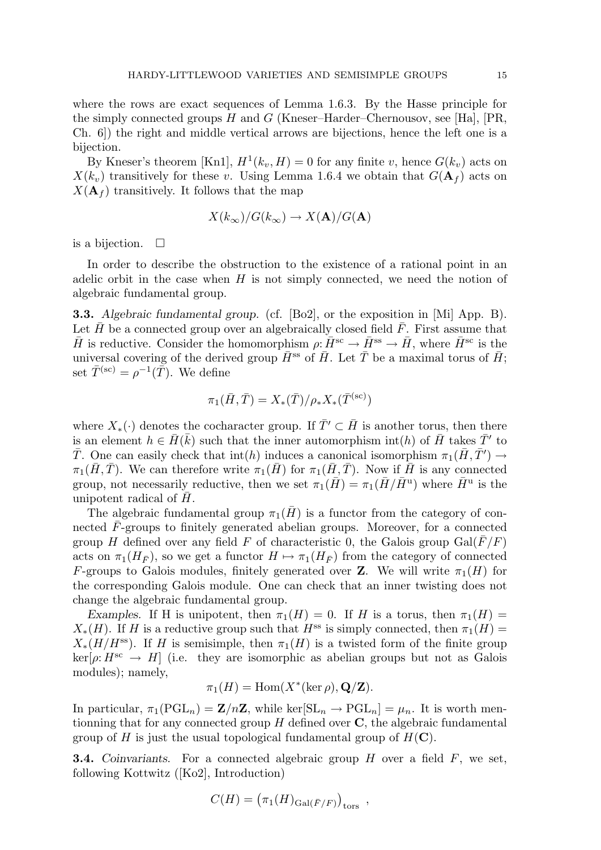where the rows are exact sequences of Lemma 1.6.3. By the Hasse principle for the simply connected groups H and G (Kneser–Harder–Chernousov, see [Ha], [PR, Ch. 6]) the right and middle vertical arrows are bijections, hence the left one is a bijection.

By Kneser's theorem [Kn1],  $H^1(k_v, H) = 0$  for any finite v, hence  $G(k_v)$  acts on  $X(k_v)$  transitively for these v. Using Lemma 1.6.4 we obtain that  $G(\mathbf{A}_f)$  acts on  $X(\mathbf{A}_f)$  transitively. It follows that the map

$$
X(k_{\infty})/G(k_{\infty}) \to X(\mathbf{A})/G(\mathbf{A})
$$

is a bijection.  $\Box$ 

In order to describe the obstruction to the existence of a rational point in an adelic orbit in the case when  $H$  is not simply connected, we need the notion of algebraic fundamental group.

3.3. Algebraic fundamental group. (cf. [Bo2], or the exposition in [Mi] App. B). Let  $\bar{H}$  be a connected group over an algebraically closed field  $\bar{F}$ . First assume that  $\bar{H}$  is reductive. Consider the homomorphism  $\rho: \bar{H}^{\rm sc} \to \bar{H}^{\rm ss} \to \bar{H}$ , where  $\bar{H}^{\rm sc}$  is the universal covering of the derived group  $\bar{H}^{\text{ss}}$  of  $\bar{H}$ . Let  $\bar{T}$  be a maximal torus of  $\bar{H}$ ; set  $\bar{T}^{(sc)} = \rho^{-1}(\bar{T})$ . We define

$$
\pi_1(\bar{H}, \bar{T}) = X_*(\bar{T}) / \rho_* X_*(\bar{T}^{(\text{sc})})
$$

where  $X_*(\cdot)$  denotes the cocharacter group. If  $\overline{T}' \subset \overline{H}$  is another torus, then there is an element  $h \in \bar{H}(\bar{k})$  such that the inner automorphism int(h) of  $\bar{H}$  takes  $\bar{T}'$  to T. One can easily check that  $\text{int}(h)$  induces a canonical isomorphism  $\pi_1(\bar{H}, \bar{T}') \rightarrow$  $\pi_1(\bar{H}, \bar{T})$ . We can therefore write  $\pi_1(\bar{H})$  for  $\pi_1(\bar{H}, \bar{T})$ . Now if  $\bar{H}$  is any connected group, not necessarily reductive, then we set  $\pi_1(\bar{H}) = \pi_1(\bar{H}/\bar{H}^u)$  where  $\bar{H}^u$  is the unipotent radical of  $H$ .

The algebraic fundamental group  $\pi_1(\bar{H})$  is a functor from the category of connected  $F$ -groups to finitely generated abelian groups. Moreover, for a connected group H defined over any field F of characteristic 0, the Galois group  $Gal(F/F)$ acts on  $\pi_1(H_{\bar{F}})$ , so we get a functor  $H \mapsto \pi_1(H_{\bar{F}})$  from the category of connected F-groups to Galois modules, finitely generated over **Z**. We will write  $\pi_1(H)$  for the corresponding Galois module. One can check that an inner twisting does not change the algebraic fundamental group.

Examples. If H is unipotent, then  $\pi_1(H) = 0$ . If H is a torus, then  $\pi_1(H) =$  $X_*(H)$ . If H is a reductive group such that  $H^{ss}$  is simply connected, then  $\pi_1(H)$  =  $X_*(H/H^{\text{ss}})$ . If H is semisimple, then  $\pi_1(H)$  is a twisted form of the finite group  $\ker[\rho: H^{\rm sc} \to H]$  (i.e. they are isomorphic as abelian groups but not as Galois modules); namely,

$$
\pi_1(H) = \text{Hom}(X^*(\ker \rho), \mathbf{Q}/\mathbf{Z}).
$$

In particular,  $\pi_1(PGL_n) = \mathbb{Z}/n\mathbb{Z}$ , while ker $|SL_n \to PGL_n| = \mu_n$ . It is worth mentionning that for any connected group  $H$  defined over  $C$ , the algebraic fundamental group of H is just the usual topological fundamental group of  $H(\mathbf{C})$ .

**3.4.** Coinvariants. For a connected algebraic group  $H$  over a field  $F$ , we set, following Kottwitz ([Ko2], Introduction)

$$
C(H) = (\pi_1(H)_{\text{Gal}(\bar{F}/F)})_{\text{tors}} ,
$$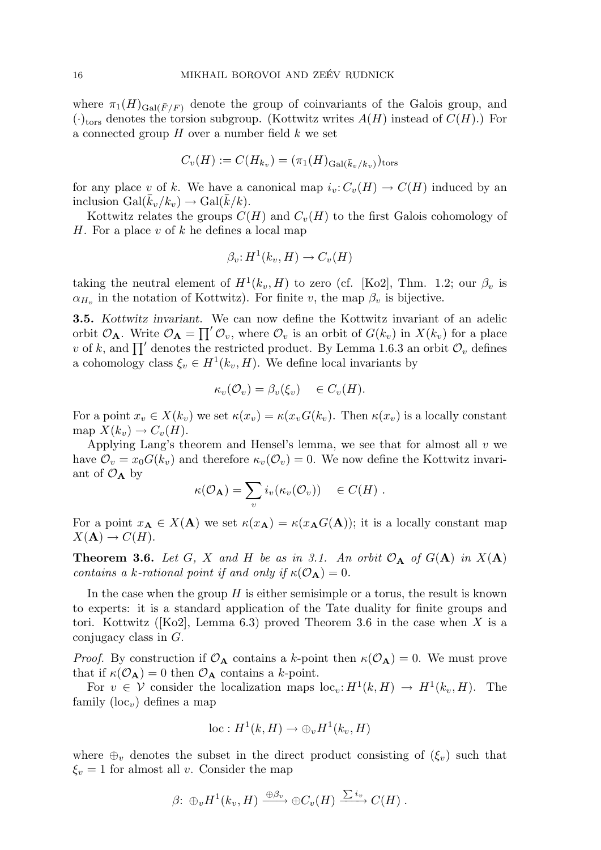where  $\pi_1(H)_{Gal(\bar{F}/F)}$  denote the group of coinvariants of the Galois group, and  $(\cdot)_{\text{tors}}$  denotes the torsion subgroup. (Kottwitz writes  $A(H)$  instead of  $C(H)$ .) For a connected group  $H$  over a number field  $k$  we set

$$
C_v(H) := C(H_{k_v}) = (\pi_1(H)_{\text{Gal}(\bar{k}_v/k_v)})_{\text{tors}}
$$

for any place v of k. We have a canonical map  $i_v: C_v(H) \to C(H)$  induced by an inclusion  $Gal(k_v/k_v) \rightarrow Gal(k/k)$ .

Kottwitz relates the groups  $C(H)$  and  $C_v(H)$  to the first Galois cohomology of H. For a place  $v$  of  $k$  he defines a local map

$$
\beta_v: H^1(k_v, H) \to C_v(H)
$$

taking the neutral element of  $H^1(k_v, H)$  to zero (cf. [Ko2], Thm. 1.2; our  $\beta_v$  is  $\alpha_{H_v}$  in the notation of Kottwitz). For finite v, the map  $\beta_v$  is bijective.

3.5. Kottwitz invariant. We can now define the Kottwitz invariant of an adelic orbit  $\mathcal{O}_\mathbf{A}$ . Write  $\mathcal{O}_\mathbf{A} = \prod' \mathcal{O}_v$ , where  $\mathcal{O}_v$  is an orbit of  $G(k_v)$  in  $X(k_v)$  for a place v of k, and  $\prod'$  denotes the restricted product. By Lemma 1.6.3 an orbit  $\mathcal{O}_v$  defines a cohomology class  $\xi_v \in H^1(k_v, H)$ . We define local invariants by

$$
\kappa_v(\mathcal{O}_v) = \beta_v(\xi_v) \quad \in C_v(H).
$$

For a point  $x_v \in X(k_v)$  we set  $\kappa(x_v) = \kappa(x_v)G(k_v)$ . Then  $\kappa(x_v)$  is a locally constant map  $X(k_v) \to C_v(H)$ .

Applying Lang's theorem and Hensel's lemma, we see that for almost all  $v$  we have  $\mathcal{O}_v = x_0 G(k_v)$  and therefore  $\kappa_v(\mathcal{O}_v) = 0$ . We now define the Kottwitz invariant of  $\mathcal{O}_{\mathbf{A}}$  by

$$
\kappa(\mathcal{O}_{\mathbf{A}}) = \sum_{v} i_v(\kappa_v(\mathcal{O}_v)) \quad \in C(H) .
$$

For a point  $x_A \in X(A)$  we set  $\kappa(x_A) = \kappa(x_A, G(A))$ ; it is a locally constant map  $X(\mathbf{A}) \to C(H).$ 

**Theorem 3.6.** Let G, X and H be as in 3.1. An orbit  $\mathcal{O}_{\mathbf{A}}$  of  $G(\mathbf{A})$  in  $X(\mathbf{A})$ contains a k-rational point if and only if  $\kappa(\mathcal{O}_A) = 0$ .

In the case when the group  $H$  is either semisimple or a torus, the result is known to experts: it is a standard application of the Tate duality for finite groups and tori. Kottwitz ([Ko2], Lemma 6.3) proved Theorem 3.6 in the case when X is a conjugacy class in G.

*Proof.* By construction if  $\mathcal{O}_{\mathbf{A}}$  contains a k-point then  $\kappa(\mathcal{O}_{\mathbf{A}})=0$ . We must prove that if  $\kappa(\mathcal{O}_A) = 0$  then  $\mathcal{O}_A$  contains a k-point.

For  $v \in V$  consider the localization maps  $\text{loc}_{v}: H^{1}(k, H) \to H^{1}(k_{v}, H)$ . The family  $(loc<sub>v</sub>)$  defines a map

$$
\mathrm{loc}: H^1(k, H) \to \oplus_v H^1(k_v, H)
$$

where  $\oplus_v$  denotes the subset in the direct product consisting of  $(\xi_v)$  such that  $\xi_v = 1$  for almost all v. Consider the map

$$
\beta\colon \oplus_v H^1(k_v, H) \xrightarrow{\oplus \beta_v} \oplus C_v(H) \xrightarrow{\sum i_v} C(H) .
$$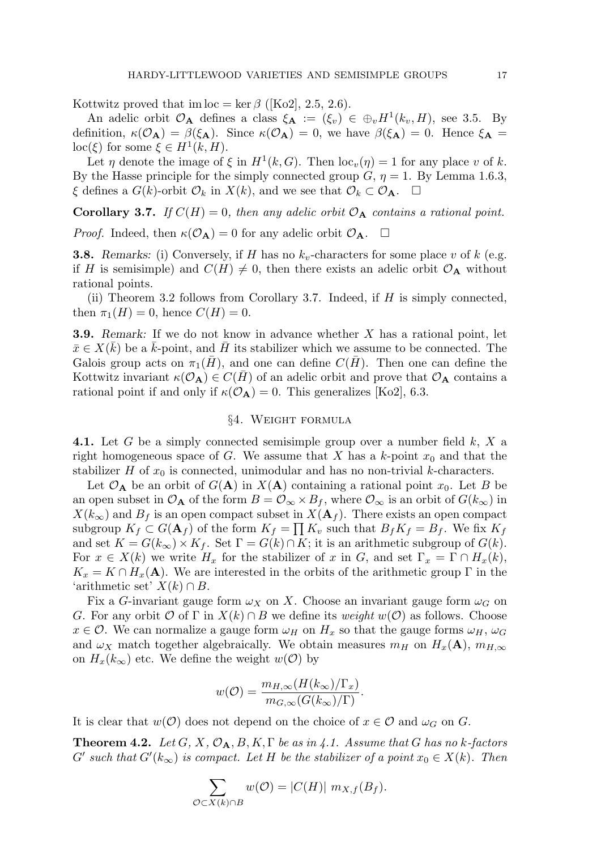Kottwitz proved that im  $loc = \ker \beta$  ([Ko2], 2.5, 2.6).

An adelic orbit  $\mathcal{O}_A$  defines a class  $\xi_A := (\xi_v) \in \bigoplus_v H^1(k_v, H)$ , see 3.5. By definition,  $\kappa(\mathcal{O}_A) = \beta(\xi_A)$ . Since  $\kappa(\mathcal{O}_A) = 0$ , we have  $\beta(\xi_A) = 0$ . Hence  $\xi_A =$ loc( $\xi$ ) for some  $\xi \in H^1(k, H)$ .

Let  $\eta$  denote the image of  $\xi$  in  $H^1(k, G)$ . Then  $\text{loc}_{v}(\eta) = 1$  for any place v of k. By the Hasse principle for the simply connected group  $G, \eta = 1$ . By Lemma 1.6.3,  $\xi$  defines a  $G(k)$ -orbit  $\mathcal{O}_k$  in  $X(k)$ , and we see that  $\mathcal{O}_k \subset \mathcal{O}_{\mathbf{A}}$ .  $\Box$ 

**Corollary 3.7.** If  $C(H) = 0$ , then any adelic orbit  $\mathcal{O}_{\mathbf{A}}$  contains a rational point. *Proof.* Indeed, then  $\kappa(\mathcal{O}_A) = 0$  for any adelic orbit  $\mathcal{O}_A$ .  $\Box$ 

**3.8.** Remarks: (i) Conversely, if H has no  $k_v$ -characters for some place v of k (e.g. if H is semisimple) and  $C(H) \neq 0$ , then there exists an adelic orbit  $\mathcal{O}_{\mathbf{A}}$  without rational points.

(ii) Theorem 3.2 follows from Corollary 3.7. Indeed, if H is simply connected, then  $\pi_1(H) = 0$ , hence  $C(H) = 0$ .

3.9. Remark: If we do not know in advance whether X has a rational point, let  $\bar{x} \in X(\bar{k})$  be a  $\bar{k}$ -point, and  $\bar{H}$  its stabilizer which we assume to be connected. The Galois group acts on  $\pi_1(H)$ , and one can define  $C(H)$ . Then one can define the Kottwitz invariant  $\kappa(\mathcal{O}_A) \in C(H)$  of an adelic orbit and prove that  $\mathcal{O}_A$  contains a rational point if and only if  $\kappa(\mathcal{O}_A) = 0$ . This generalizes [Ko2], 6.3.

# §4. Weight formula

**4.1.** Let G be a simply connected semisimple group over a number field  $k$ , X a right homogeneous space of G. We assume that X has a k-point  $x_0$  and that the stabilizer H of  $x_0$  is connected, unimodular and has no non-trivial k-characters.

Let  $\mathcal{O}_{\mathbf{A}}$  be an orbit of  $G(\mathbf{A})$  in  $X(\mathbf{A})$  containing a rational point  $x_0$ . Let B be an open subset in  $\mathcal{O}_A$  of the form  $B = \mathcal{O}_\infty \times B_f$ , where  $\mathcal{O}_\infty$  is an orbit of  $G(k_\infty)$  in  $X(k_{\infty})$  and  $B_f$  is an open compact subset in  $X(\mathbf{A}_f)$ . There exists an open compact subgroup  $K_f \subset G(\mathbf{A}_f)$  of the form  $K_f = \prod K_v$  such that  $B_f K_f = B_f$ . We fix  $K_f$ and set  $K = G(k_{\infty}) \times K_f$ . Set  $\Gamma = G(k) \cap K$ ; it is an arithmetic subgroup of  $G(k)$ . For  $x \in X(k)$  we write  $H_x$  for the stabilizer of x in G, and set  $\Gamma_x = \Gamma \cap H_x(k)$ ,  $K_x = K \cap H_x(\mathbf{A})$ . We are interested in the orbits of the arithmetic group  $\Gamma$  in the 'arithmetic set'  $X(k) \cap B$ .

Fix a G-invariant gauge form  $\omega_X$  on X. Choose an invariant gauge form  $\omega_G$  on G. For any orbit  $\mathcal O$  of  $\Gamma$  in  $X(k) \cap B$  we define its weight  $w(\mathcal O)$  as follows. Choose  $x \in \mathcal{O}$ . We can normalize a gauge form  $\omega_H$  on  $H_x$  so that the gauge forms  $\omega_H$ ,  $\omega_G$ and  $\omega_X$  match together algebraically. We obtain measures  $m_H$  on  $H_x(\mathbf{A})$ ,  $m_{H,\infty}$ on  $H_x(k_{\infty})$  etc. We define the weight  $w(\mathcal{O})$  by

$$
w(\mathcal{O}) = \frac{m_{H,\infty}(H(k_{\infty})/\Gamma_x)}{m_{G,\infty}(G(k_{\infty})/\Gamma)}.
$$

It is clear that  $w(\mathcal{O})$  does not depend on the choice of  $x \in \mathcal{O}$  and  $\omega_G$  on G.

**Theorem 4.2.** Let  $G, X, \mathcal{O}_A, B, K, \Gamma$  be as in 4.1. Assume that G has no k-factors G' such that  $G'(k_{\infty})$  is compact. Let H be the stabilizer of a point  $x_0 \in X(k)$ . Then

$$
\sum_{\mathcal{O}\subset X(k)\cap B} w(\mathcal{O}) = |C(H)| m_{X,f}(B_f).
$$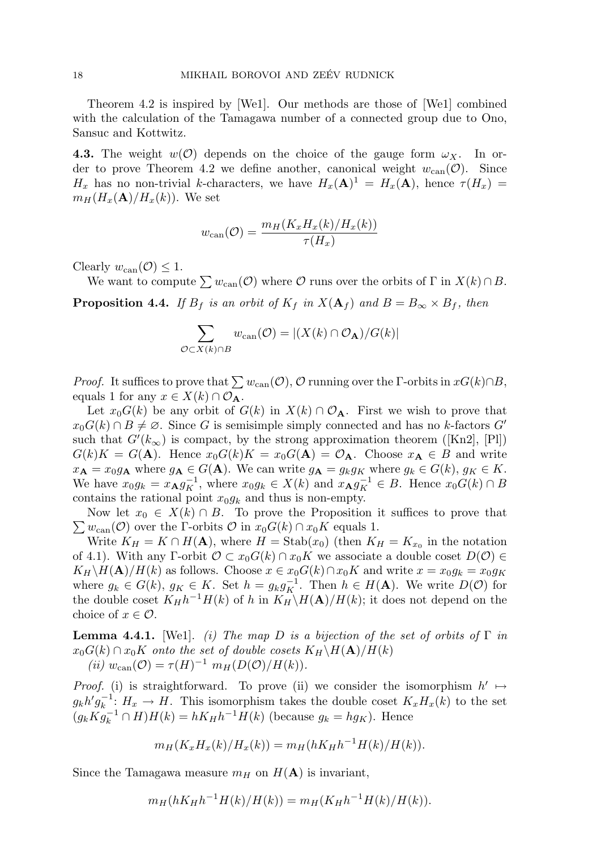Theorem 4.2 is inspired by [We1]. Our methods are those of [We1] combined with the calculation of the Tamagawa number of a connected group due to Ono, Sansuc and Kottwitz.

**4.3.** The weight  $w(\mathcal{O})$  depends on the choice of the gauge form  $\omega_X$ . In order to prove Theorem 4.2 we define another, canonical weight  $w_{\text{can}}(\mathcal{O})$ . Since  $H_x$  has no non-trivial k-characters, we have  $H_x(\mathbf{A})^1 = H_x(\mathbf{A})$ , hence  $\tau(H_x) =$  $m_H(H_x(\mathbf{A})/H_x(k))$ . We set

$$
w_{\text{can}}(\mathcal{O}) = \frac{m_H(K_x H_x(k)/H_x(k))}{\tau(H_x)}
$$

Clearly  $w_{\text{can}}(\mathcal{O}) \leq 1$ .

We want to compute  $\sum w_{\text{can}}(\mathcal{O})$  where  $\mathcal O$  runs over the orbits of  $\Gamma$  in  $X(k) \cap B$ .

**Proposition 4.4.** If  $B_f$  is an orbit of  $K_f$  in  $X(\mathbf{A}_f)$  and  $B = B_\infty \times B_f$ , then

$$
\sum_{\mathcal{O}\subset X(k)\cap B} w_{\text{can}}(\mathcal{O}) = |(X(k)\cap \mathcal{O}_{\mathbf{A}})/G(k)|
$$

*Proof.* It suffices to prove that  $\sum w_{\text{can}}(\mathcal{O}), \mathcal{O}$  running over the Γ-orbits in  $xG(k)\cap B$ , equals 1 for any  $x \in X(k) \cap \mathcal{O}_{\mathbf{A}}$ .

Let  $x_0G(k)$  be any orbit of  $G(k)$  in  $X(k) \cap \mathcal{O}_A$ . First we wish to prove that  $x_0G(k) \cap B \neq \emptyset$ . Since G is semisimple simply connected and has no k-factors G' such that  $G'(k_{\infty})$  is compact, by the strong approximation theorem ([Kn2], [Pl])  $G(k)K = G(\mathbf{A})$ . Hence  $x_0G(k)K = x_0G(\mathbf{A}) = \mathcal{O}_{\mathbf{A}}$ . Choose  $x_{\mathbf{A}} \in B$  and write  $x_{\mathbf{A}} = x_0 g_{\mathbf{A}}$  where  $g_{\mathbf{A}} \in G(\mathbf{A})$ . We can write  $g_{\mathbf{A}} = g_k g_K$  where  $g_k \in G(k)$ ,  $g_K \in K$ . We have  $x_0g_k = x_{\mathbf{A}}g_K^{-1}$ , where  $x_0g_k \in X(k)$  and  $x_{\mathbf{A}}g_K^{-1} \in B$ . Hence  $x_0G(k) \cap B$ contains the rational point  $x_0g_k$  and thus is non-empty.

 $\sum w_{\text{can}}(\mathcal{O})$  over the Γ-orbits  $\mathcal{O}$  in  $x_0 G(k) \cap x_0 K$  equals 1. Now let  $x_0 \in X(k) \cap B$ . To prove the Proposition it suffices to prove that

Write  $K_H = K \cap H(A)$ , where  $H = \text{Stab}(x_0)$  (then  $K_H = K_{x_0}$  in the notation of 4.1). With any Γ-orbit  $\mathcal{O} \subset x_0 G(k) \cap x_0 K$  we associate a double coset  $D(\mathcal{O}) \in$  $K_H\backslash H(\mathbf{A})/H(k)$  as follows. Choose  $x \in x_0G(k) \cap x_0K$  and write  $x = x_0q_k = x_0q_K$ where  $g_k \in G(k)$ ,  $g_K \in K$ . Set  $h = g_k g_K^{-1}$ . Then  $h \in H(\mathbf{A})$ . We write  $D(\mathcal{O})$  for the double coset  $K_H h^{-1} H(k)$  of h in  $K_H \backslash H(\mathbf{A})/H(k)$ ; it does not depend on the choice of  $x \in \mathcal{O}$ .

**Lemma 4.4.1.** [We1]. (i) The map D is a bijection of the set of orbits of  $\Gamma$  in  $x_0G(k) \cap x_0K$  onto the set of double cosets  $K_H\backslash H(\mathbf{A})/H(k)$ (*ii*)  $w_{\text{can}}(\mathcal{O}) = \tau(H)^{-1} m_H(D(\mathcal{O})/H(k)).$ 

*Proof.* (i) is straightforward. To prove (ii) we consider the isomorphism  $h' \mapsto$  $g_k h' g_k^{-1}$  $\overline{k}^{-1}$ :  $H_x \to H$ . This isomorphism takes the double coset  $K_x H_x(k)$  to the set  $(g_k K g_k^{-1} \cap H)H(k) = hK_H h^{-1}H(k)$  (because  $g_k = hg_k$ ). Hence

$$
m_H(K_x H_x(k)/H_x(k)) = m_H(hK_H h^{-1}H(k)/H(k)).
$$

Since the Tamagawa measure  $m_H$  on  $H(A)$  is invariant,

$$
m_H(hK_Hh^{-1}H(k)/H(k)) = m_H(K_Hh^{-1}H(k)/H(k)).
$$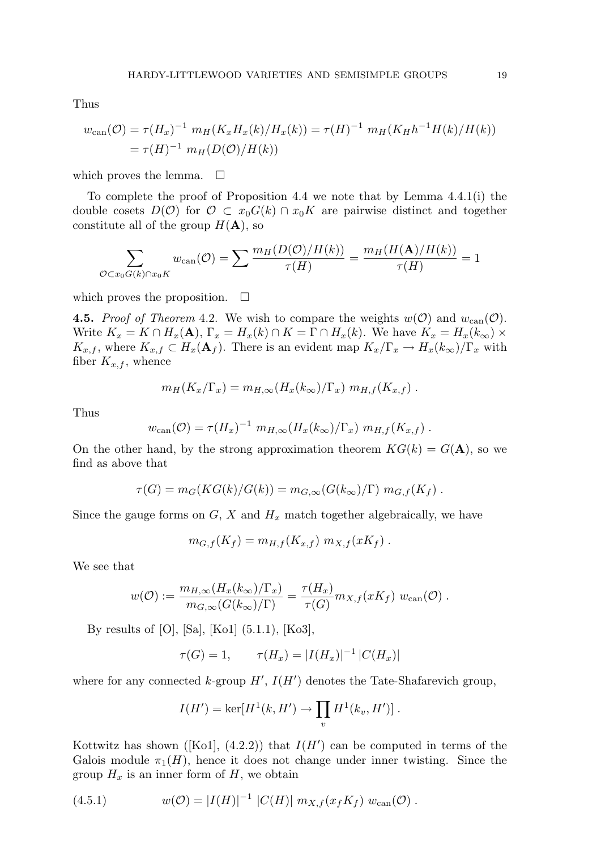Thus

$$
w_{\text{can}}(\mathcal{O}) = \tau(H_x)^{-1} m_H(K_x H_x(k)/H_x(k)) = \tau(H)^{-1} m_H(K_H h^{-1} H(k)/H(k))
$$
  
=  $\tau(H)^{-1} m_H(D(\mathcal{O})/H(k))$ 

which proves the lemma.  $\square$ 

To complete the proof of Proposition 4.4 we note that by Lemma 4.4.1(i) the double cosets  $D(\mathcal{O})$  for  $\mathcal{O} \subset x_0 G(k) \cap x_0 K$  are pairwise distinct and together constitute all of the group  $H(\mathbf{A})$ , so

$$
\sum_{\mathcal{O}\subset x_0 G(k)\cap x_0 K} w_{\operatorname{can}}(\mathcal{O}) = \sum \frac{m_H(D(\mathcal{O})/H(k))}{\tau(H)} = \frac{m_H(H(\mathbf{A})/H(k))}{\tau(H)} = 1
$$

which proves the proposition.  $\Box$ 

4.5. Proof of Theorem 4.2. We wish to compare the weights  $w(O)$  and  $w_{can}(O)$ . Write  $K_x = K \cap H_x(\mathbf{A}), \Gamma_x = H_x(k) \cap K = \Gamma \cap H_x(k)$ . We have  $K_x = H_x(k_\infty) \times$  $K_{x,f}$ , where  $K_{x,f} \subset H_x(\mathbf{A}_f)$ . There is an evident map  $K_x/\Gamma_x \to H_x(k_\infty)/\Gamma_x$  with fiber  $K_{x,f}$ , whence

$$
m_H(K_x/\Gamma_x) = m_{H,\infty}(H_x(k_{\infty})/\Gamma_x) m_{H,f}(K_{x,f}).
$$

Thus

$$
w_{\text{can}}(\mathcal{O}) = \tau(H_x)^{-1} m_{H,\infty}(H_x(k_{\infty})/\Gamma_x) m_{H,f}(K_{x,f}).
$$

On the other hand, by the strong approximation theorem  $KG(k) = G(\mathbf{A})$ , so we find as above that

$$
\tau(G) = m_G(KG(k)/G(k)) = m_{G,\infty}(G(k_{\infty})/\Gamma) m_{G,f}(K_f).
$$

Since the gauge forms on  $G, X$  and  $H_x$  match together algebraically, we have

 $m_{G,f}(K_f) = m_{H,f}(K_{x,f}) m_{X,f}(xK_f)$ .

We see that

$$
w(\mathcal{O}) := \frac{m_{H,\infty}(H_x(k_{\infty})/\Gamma_x)}{m_{G,\infty}(G(k_{\infty})/\Gamma)} = \frac{\tau(H_x)}{\tau(G)} m_{X,f}(xK_f) w_{\text{can}}(\mathcal{O}) .
$$

By results of [O], [Sa], [Ko1]  $(5.1.1)$ , [Ko3],

$$
\tau(G) = 1, \qquad \tau(H_x) = |I(H_x)|^{-1} |C(H_x)|
$$

where for any connected k-group  $H'$ ,  $I(H')$  denotes the Tate-Shafarevich group,

$$
I(H') = \ker[H^{1}(k, H') \to \prod_{v} H^{1}(k_{v}, H')] .
$$

Kottwitz has shown ([Ko1],  $(4.2.2)$ ) that  $I(H')$  can be computed in terms of the Galois module  $\pi_1(H)$ , hence it does not change under inner twisting. Since the group  $H_x$  is an inner form of H, we obtain

(4.5.1) 
$$
w(\mathcal{O}) = |I(H)|^{-1} |C(H)| m_{X,f}(x_f K_f) w_{\text{can}}(\mathcal{O}) .
$$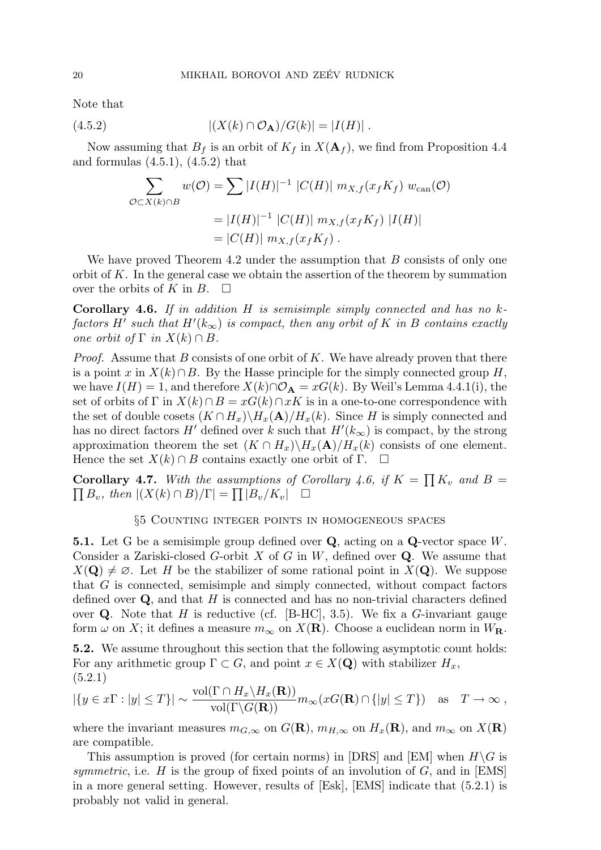Note that

(4.5.2) 
$$
|(X(k) \cap O_{\mathbf{A}})/G(k)| = |I(H)|.
$$

Now assuming that  $B_f$  is an orbit of  $K_f$  in  $X(\mathbf{A}_f)$ , we find from Proposition 4.4 and formulas (4.5.1), (4.5.2) that

$$
\sum_{\mathcal{O}\subset X(k)\cap B} w(\mathcal{O}) = \sum |I(H)|^{-1} |C(H)| m_{X,f}(x_f K_f) w_{\text{can}}(\mathcal{O})
$$
  
= |I(H)|^{-1} |C(H)| m\_{X,f}(x\_f K\_f) |I(H)|  
= |C(H)| m\_{X,f}(x\_f K\_f).

We have proved Theorem 4.2 under the assumption that  $B$  consists of only one orbit of  $K$ . In the general case we obtain the assertion of the theorem by summation over the orbits of K in B.  $\square$ 

**Corollary 4.6.** If in addition  $H$  is semisimple simply connected and has no  $k$ factors H' such that  $H'(k_{\infty})$  is compact, then any orbit of K in B contains exactly one orbit of  $\Gamma$  in  $X(k) \cap B$ .

*Proof.* Assume that B consists of one orbit of K. We have already proven that there is a point x in  $X(k) \cap B$ . By the Hasse principle for the simply connected group H, we have  $I(H) = 1$ , and therefore  $X(k) \cap \mathcal{O}_{\mathbf{A}} = xG(k)$ . By Weil's Lemma 4.4.1(i), the set of orbits of Γ in  $X(k) \cap B = xG(k) \cap xK$  is in a one-to-one correspondence with the set of double cosets  $(K \cap H_x) \backslash H_x(\mathbf{A})/H_x(k)$ . Since H is simply connected and has no direct factors  $H'$  defined over k such that  $H'(k_{\infty})$  is compact, by the strong approximation theorem the set  $(K \cap H_x)\backslash H_x(\mathbf{A})/H_x(k)$  consists of one element. Hence the set  $X(k) \cap B$  contains exactly one orbit of  $\Gamma$ .  $\Box$ 

**Corollary 4.7.** With the assumptions of Corollary 4.6, if  $K = \prod K_v$  and  $B =$  $\prod B_v$ , then  $|(X(k) \cap B)/\Gamma| = \prod |B_v/K_v|$ 

§5 Counting integer points in homogeneous spaces

**5.1.** Let G be a semisimple group defined over **Q**, acting on a **Q**-vector space W. Consider a Zariski-closed G-orbit X of G in W, defined over  $Q$ . We assume that  $X(\mathbf{Q}) \neq \emptyset$ . Let H be the stabilizer of some rational point in  $X(\mathbf{Q})$ . We suppose that G is connected, semisimple and simply connected, without compact factors defined over  $\mathbf{Q}$ , and that H is connected and has no non-trivial characters defined over  $Q$ . Note that H is reductive (cf. [B-HC], 3.5). We fix a G-invariant gauge form  $\omega$  on X; it defines a measure  $m_{\infty}$  on  $X(\mathbf{R})$ . Choose a euclidean norm in  $W_{\mathbf{R}}$ .

5.2. We assume throughout this section that the following asymptotic count holds: For any arithmetic group  $\Gamma \subset G$ , and point  $x \in X(\mathbf{Q})$  with stabilizer  $H_x$ , (5.2.1)

$$
|\{y \in x\Gamma : |y| \leq T\}| \sim \frac{\text{vol}(\Gamma \cap H_x \backslash H_x(\mathbf{R}))}{\text{vol}(\Gamma \backslash G(\mathbf{R}))} m_{\infty}(xG(\mathbf{R}) \cap \{|y| \leq T\})
$$
 as  $T \to \infty$ ,

where the invariant measures  $m_{G,\infty}$  on  $G(\mathbf{R})$ ,  $m_{H,\infty}$  on  $H_x(\mathbf{R})$ , and  $m_{\infty}$  on  $X(\mathbf{R})$ are compatible.

This assumption is proved (for certain norms) in [DRS] and [EM] when  $H\backslash G$  is symmetric, i.e. H is the group of fixed points of an involution of  $G$ , and in [EMS] in a more general setting. However, results of [Esk], [EMS] indicate that (5.2.1) is probably not valid in general.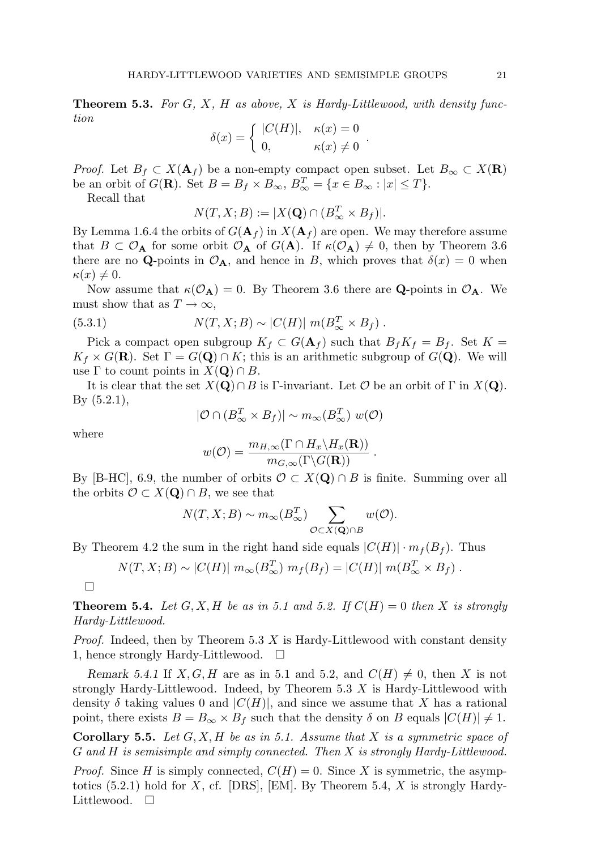**Theorem 5.3.** For  $G, X, H$  as above,  $X$  is Hardy-Littlewood, with density function

$$
\delta(x) = \begin{cases} |C(H)|, & \kappa(x) = 0\\ 0, & \kappa(x) \neq 0 \end{cases}
$$

.

*Proof.* Let  $B_f \subset X(\mathbf{A}_f)$  be a non-empty compact open subset. Let  $B_\infty \subset X(\mathbf{R})$ be an orbit of  $G(\mathbf{R})$ . Set  $B = B_f \times B_{\infty}$ ,  $B_{\infty}^T = \{x \in B_{\infty} : |x| \leq T\}$ .

Recall that

$$
N(T, X; B) := |X(\mathbf{Q}) \cap (B_{\infty}^T \times B_f)|.
$$

By Lemma 1.6.4 the orbits of  $G(\mathbf{A}_f)$  in  $X(\mathbf{A}_f)$  are open. We may therefore assume that  $B \subset \mathcal{O}_A$  for some orbit  $\mathcal{O}_A$  of  $G(A)$ . If  $\kappa(\mathcal{O}_A) \neq 0$ , then by Theorem 3.6 there are no Q-points in  $\mathcal{O}_A$ , and hence in B, which proves that  $\delta(x) = 0$  when  $\kappa(x) \neq 0.$ 

Now assume that  $\kappa(\mathcal{O}_A) = 0$ . By Theorem 3.6 there are **Q**-points in  $\mathcal{O}_A$ . We must show that as  $T \to \infty$ ,

(5.3.1) 
$$
N(T, X; B) \sim |C(H)| m(B_{\infty}^T \times B_f).
$$

Pick a compact open subgroup  $K_f \subset G(\mathbf{A}_f)$  such that  $B_f K_f = B_f$ . Set  $K =$  $K_f \times G(\mathbf{R})$ . Set  $\Gamma = G(\mathbf{Q}) \cap K$ ; this is an arithmetic subgroup of  $G(\mathbf{Q})$ . We will use  $\Gamma$  to count points in  $X(Q) \cap B$ .

It is clear that the set  $X(Q) \cap B$  is Γ-invariant. Let  $O$  be an orbit of  $\Gamma$  in  $X(Q)$ . By (5.2.1),

$$
|\mathcal{O} \cap (B_{\infty}^T \times B_f)| \sim m_{\infty}(B_{\infty}^T) w(\mathcal{O})
$$

where

$$
w(\mathcal{O}) = \frac{m_{H,\infty}(\Gamma \cap H_x \backslash H_x(\mathbf{R}))}{m_{G,\infty}(\Gamma \backslash G(\mathbf{R}))}.
$$

By [B-HC], 6.9, the number of orbits  $\mathcal{O} \subset X(\mathbf{Q}) \cap B$  is finite. Summing over all the orbits  $\mathcal{O} \subset X(\mathbf{Q}) \cap B$ , we see that

$$
N(T, X; B) \sim m_{\infty}(B_{\infty}^{T}) \sum_{\mathcal{O} \subset X(\mathbf{Q}) \cap B} w(\mathcal{O}).
$$

By Theorem 4.2 the sum in the right hand side equals  $|C(H)| \cdot m_f(B_f)$ . Thus

$$
N(T, X; B) \sim |C(H)| m_{\infty}(B_{\infty}^T) m_f(B_f) = |C(H)| m(B_{\infty}^T \times B_f) .
$$

 $\Box$ 

**Theorem 5.4.** Let  $G, X, H$  be as in 5.1 and 5.2. If  $C(H) = 0$  then X is strongly Hardy-Littlewood.

*Proof.* Indeed, then by Theorem 5.3  $X$  is Hardy-Littlewood with constant density 1, hence strongly Hardy-Littlewood.  $\square$ 

Remark 5.4.1 If X, G, H are as in 5.1 and 5.2, and  $C(H) \neq 0$ , then X is not strongly Hardy-Littlewood. Indeed, by Theorem 5.3  $X$  is Hardy-Littlewood with density  $\delta$  taking values 0 and  $|C(H)|$ , and since we assume that X has a rational point, there exists  $B = B_{\infty} \times B_f$  such that the density  $\delta$  on B equals  $|C(H)| \neq 1$ .

**Corollary 5.5.** Let  $G, X, H$  be as in 5.1. Assume that X is a symmetric space of  $G$  and  $H$  is semisimple and simply connected. Then  $X$  is strongly Hardy-Littlewood.

*Proof.* Since H is simply connected,  $C(H) = 0$ . Since X is symmetric, the asymptotics  $(5.2.1)$  hold for X, cf. [DRS], [EM]. By Theorem 5.4, X is strongly Hardy-Littlewood.  $\square$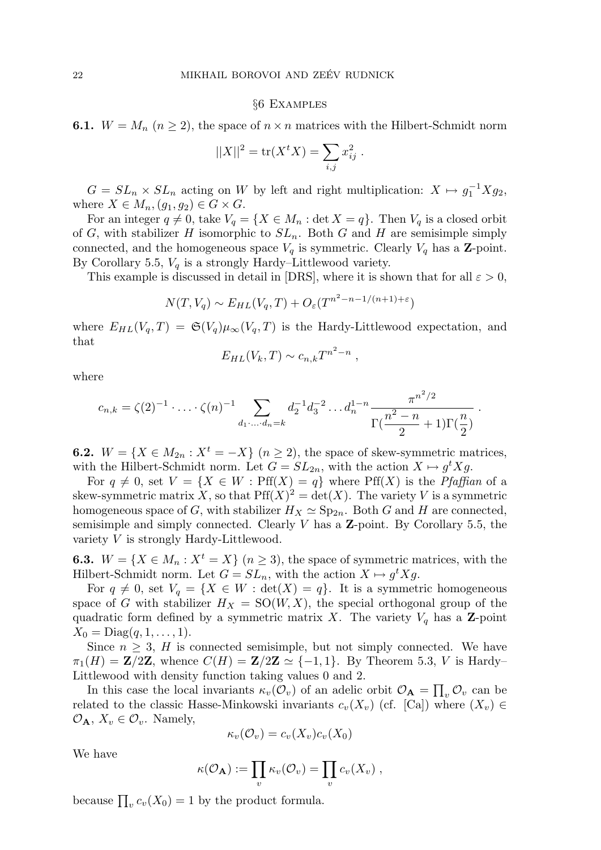#### §6 Examples

**6.1.**  $W = M_n$  ( $n \ge 2$ ), the space of  $n \times n$  matrices with the Hilbert-Schmidt norm

$$
||X||^2 = \text{tr}(X^t X) = \sum_{i,j} x_{ij}^2.
$$

 $G = SL_n \times SL_n$  acting on W by left and right multiplication:  $X \mapsto g_1^{-1} X g_2$ , where  $X \in M_n$ ,  $(g_1, g_2) \in G \times G$ .

For an integer  $q \neq 0$ , take  $V_q = \{X \in M_n : \det X = q\}$ . Then  $V_q$  is a closed orbit of G, with stabilizer H isomorphic to  $SL_n$ . Both G and H are semisimple simply connected, and the homogeneous space  $V_q$  is symmetric. Clearly  $V_q$  has a Z-point. By Corollary 5.5,  $V_q$  is a strongly Hardy–Littlewood variety.

This example is discussed in detail in [DRS], where it is shown that for all  $\varepsilon > 0$ ,

$$
N(T, V_q) \sim E_{HL}(V_q, T) + O_{\varepsilon}(T^{n^2 - n - 1/(n+1) + \varepsilon})
$$

where  $E_{HL}(V_q, T) = \mathfrak{S}(V_q) \mu_\infty(V_q, T)$  is the Hardy-Littlewood expectation, and that

$$
E_{HL}(V_k,T) \sim c_{n,k} T^{n^2-n} ,
$$

where

$$
c_{n,k} = \zeta(2)^{-1} \cdot \ldots \cdot \zeta(n)^{-1} \sum_{d_1 \ldots d_n = k} d_2^{-1} d_3^{-2} \ldots d_n^{1-n} \frac{\pi^{n^2/2}}{\Gamma(\frac{n^2 - n}{2} + 1)\Gamma(\frac{n}{2})}.
$$

**6.2.**  $W = \{X \in M_{2n} : X^t = -X\}$   $(n \geq 2)$ , the space of skew-symmetric matrices, with the Hilbert-Schmidt norm. Let  $G = SL_{2n}$ , with the action  $X \mapsto g^t X g$ .

For  $q \neq 0$ , set  $V = \{X \in W : Pff(X) = q\}$  where Pff(X) is the Pfaffian of a skew-symmetric matrix X, so that  $Pff(X)^2 = det(X)$ . The variety V is a symmetric homogeneous space of G, with stabilizer  $H_X \simeq \text{Sp}_{2n}$ . Both G and H are connected, semisimple and simply connected. Clearly  $V$  has a  $Z$ -point. By Corollary 5.5, the variety V is strongly Hardy-Littlewood.

**6.3.**  $W = \{X \in M_n : X^t = X\}$   $(n \geq 3)$ , the space of symmetric matrices, with the Hilbert-Schmidt norm. Let  $G = SL_n$ , with the action  $X \mapsto g^t X g$ .

For  $q \neq 0$ , set  $V_q = \{X \in W : \det(X) = q\}$ . It is a symmetric homogeneous space of G with stabilizer  $H_X = SO(W, X)$ , the special orthogonal group of the quadratic form defined by a symmetric matrix X. The variety  $V_q$  has a Z-point  $X_0 = \text{Diag}(q, 1, \ldots, 1).$ 

Since  $n \geq 3$ , H is connected semisimple, but not simply connected. We have  $\pi_1(H) = \mathbb{Z}/2\mathbb{Z}$ , whence  $C(H) = \mathbb{Z}/2\mathbb{Z} \simeq \{-1, 1\}$ . By Theorem 5.3, V is Hardy– Littlewood with density function taking values 0 and 2.

In this case the local invariants  $\kappa_v(\mathcal{O}_v)$  of an adelic orbit  $\mathcal{O}_{\mathbf{A}} = \prod_v \mathcal{O}_v$  can be related to the classic Hasse-Minkowski invariants  $c_v(X_v)$  (cf. [Ca]) where  $(X_v) \in$  $\mathcal{O}_{\mathbf{A}}, X_v \in \mathcal{O}_v$ . Namely,

$$
\kappa_v(\mathcal{O}_v) = c_v(X_v)c_v(X_0)
$$

We have

$$
\kappa(\mathcal{O}_{\mathbf{A}}) := \prod_v \kappa_v(\mathcal{O}_v) = \prod_v c_v(X_v) ,
$$

because  $\prod_v c_v(X_0) = 1$  by the product formula.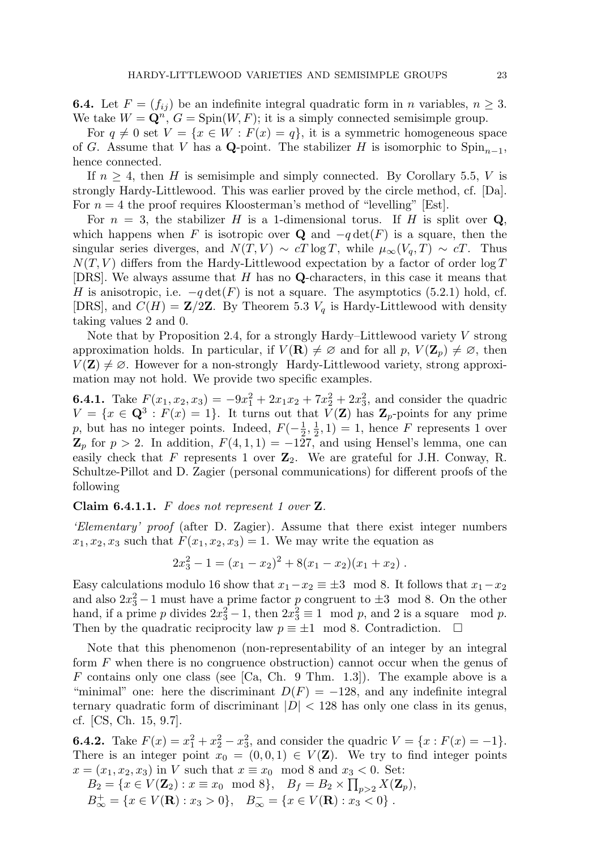**6.4.** Let  $F = (f_{ij})$  be an indefinite integral quadratic form in *n* variables,  $n \geq 3$ . We take  $W = \mathbf{Q}^n$ ,  $G = \text{Spin}(W, F)$ ; it is a simply connected semisimple group.

For  $q \neq 0$  set  $V = \{x \in W : F(x) = q\}$ , it is a symmetric homogeneous space of G. Assume that V has a Q-point. The stabilizer H is isomorphic to  $\text{Spin}_{n-1}$ , hence connected.

If  $n \geq 4$ , then H is semisimple and simply connected. By Corollary 5.5, V is strongly Hardy-Littlewood. This was earlier proved by the circle method, cf. [Da]. For  $n = 4$  the proof requires Kloosterman's method of "levelling" [Est].

For  $n = 3$ , the stabilizer H is a 1-dimensional torus. If H is split over Q, which happens when F is isotropic over Q and  $-q \det(F)$  is a square, then the singular series diverges, and  $N(T, V) \sim cT \log T$ , while  $\mu_{\infty}(V_q, T) \sim cT$ . Thus  $N(T, V)$  differs from the Hardy-Littlewood expectation by a factor of order  $\log T$ [DRS]. We always assume that  $H$  has no **Q**-characters, in this case it means that H is anisotropic, i.e.  $-q \det(F)$  is not a square. The asymptotics (5.2.1) hold, cf. [DRS], and  $C(H) = \mathbb{Z}/2\mathbb{Z}$ . By Theorem 5.3  $V_q$  is Hardy-Littlewood with density taking values 2 and 0.

Note that by Proposition 2.4, for a strongly Hardy–Littlewood variety  $V$  strong approximation holds. In particular, if  $V(\mathbf{R}) \neq \emptyset$  and for all  $p, V(\mathbf{Z}_p) \neq \emptyset$ , then  $V(\mathbf{Z}) \neq \emptyset$ . However for a non-strongly Hardy-Littlewood variety, strong approximation may not hold. We provide two specific examples.

**6.4.1.** Take  $F(x_1, x_2, x_3) = -9x_1^2 + 2x_1x_2 + 7x_2^2 + 2x_3^2$ , and consider the quadric  $V = \{x \in \mathbf{Q}^3 : F(x) = 1\}.$  It turns out that  $V(\mathbf{Z})$  has  $\mathbf{Z}_p$ -points for any prime p, but has no integer points. Indeed,  $F(-\frac{1}{2})$  $\frac{1}{2}, \frac{1}{2}$  $(\frac{1}{2}, 1) = 1$ , hence F represents 1 over  $\mathbb{Z}_p$  for  $p > 2$ . In addition,  $F(4,1,1) = -127$ , and using Hensel's lemma, one can easily check that F represents 1 over  $\mathbb{Z}_2$ . We are grateful for J.H. Conway, R. Schultze-Pillot and D. Zagier (personal communications) for different proofs of the following

## Claim 6.4.1.1.  $F$  does not represent 1 over Z.

'Elementary' proof (after D. Zagier). Assume that there exist integer numbers  $x_1, x_2, x_3$  such that  $F(x_1, x_2, x_3) = 1$ . We may write the equation as

$$
2x_3^2 - 1 = (x_1 - x_2)^2 + 8(x_1 - x_2)(x_1 + x_2).
$$

Easy calculations modulo 16 show that  $x_1-x_2 \equiv \pm 3 \mod 8$ . It follows that  $x_1-x_2$ and also  $2x_3^2 - 1$  must have a prime factor p congruent to  $\pm 3$  mod 8. On the other hand, if a prime p divides  $2x_3^2 - 1$ , then  $2x_3^2 \equiv 1 \mod p$ , and 2 is a square mod p. Then by the quadratic reciprocity law  $p \equiv \pm 1 \mod 8$ . Contradiction.  $\Box$ 

Note that this phenomenon (non-representability of an integer by an integral form F when there is no congruence obstruction) cannot occur when the genus of F contains only one class (see [Ca, Ch. 9 Thm. 1.3]). The example above is a "minimal" one: here the discriminant  $D(F) = -128$ , and any indefinite integral ternary quadratic form of discriminant  $|D|$  < 128 has only one class in its genus, cf. [CS, Ch. 15, 9.7].

**6.4.2.** Take  $F(x) = x_1^2 + x_2^2 - x_3^2$ , and consider the quadric  $V = \{x : F(x) = -1\}$ . There is an integer point  $x_0 = (0, 0, 1) \in V(\mathbb{Z})$ . We try to find integer points  $x = (x_1, x_2, x_3)$  in V such that  $x \equiv x_0 \mod 8$  and  $x_3 < 0$ . Set:

 $B_2 = \{x \in V(\mathbf{Z}_2) : x \equiv x_0 \mod 8\}, \quad B_f = B_2 \times \prod_{p>2} X(\mathbf{Z}_p),$  $B_{\infty}^{+} = \{x \in V(\mathbf{R}) : x_3 > 0\}, \quad B_{\infty}^{-} = \{x \in V(\mathbf{R}) : x_3 < 0\}.$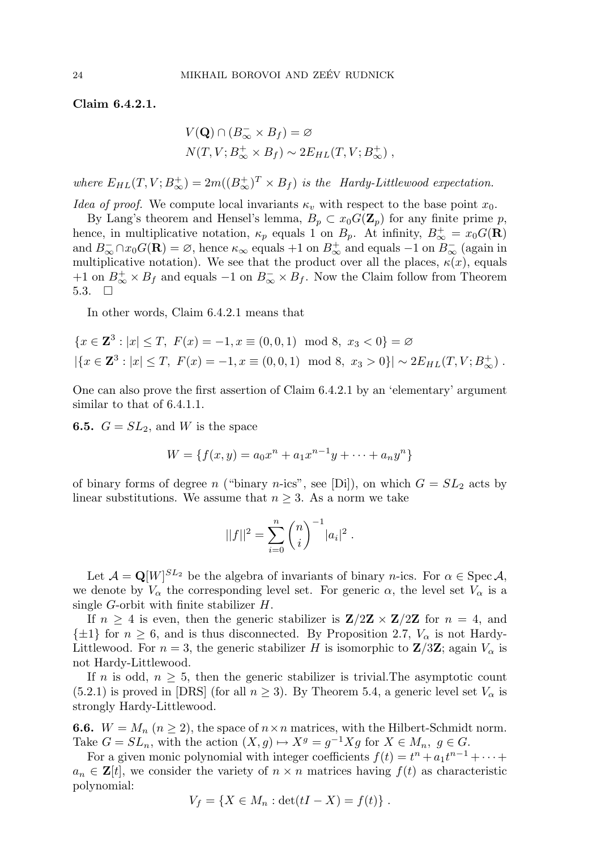Claim 6.4.2.1.

$$
V(\mathbf{Q}) \cap (B_{\infty}^- \times B_f) = \varnothing
$$
  
 
$$
N(T, V; B_{\infty}^+ \times B_f) \sim 2E_{HL}(T, V; B_{\infty}^+),
$$

where  $E_{HL}(T, V; B^+_{\infty}) = 2m((B^+_{\infty})^T \times B_f)$  is the Hardy-Littlewood expectation.

*Idea of proof.* We compute local invariants  $\kappa_v$  with respect to the base point  $x_0$ . By Lang's theorem and Hensel's lemma,  $B_p \subset x_0G(\mathbf{Z}_p)$  for any finite prime p, hence, in multiplicative notation,  $\kappa_p$  equals 1 on  $B_p$ . At infinity,  $B^+_{\infty} = x_0 G(\mathbf{R})$ and  $B_{\infty}^- \cap x_0 G(\mathbf{R}) = \emptyset$ , hence  $\kappa_{\infty}$  equals +1 on  $B_{\infty}^+$  and equals -1 on  $B_{\infty}^-$  (again in multiplicative notation). We see that the product over all the places,  $\kappa(x)$ , equals +1 on  $B_{\infty}^+ \times B_f$  and equals -1 on  $B_{\infty}^- \times B_f$ . Now the Claim follow from Theorem 5.3.  $\Box$ 

In other words, Claim 6.4.2.1 means that

$$
\{x \in \mathbf{Z}^3 : |x| \le T, \ F(x) = -1, x \equiv (0, 0, 1) \mod 8, \ x_3 < 0\} = \varnothing
$$
\n
$$
|\{x \in \mathbf{Z}^3 : |x| \le T, \ F(x) = -1, x \equiv (0, 0, 1) \mod 8, \ x_3 > 0\}| \sim 2E_{HL}(T, V; B^+_{\infty}) \ .
$$

One can also prove the first assertion of Claim 6.4.2.1 by an 'elementary' argument similar to that of 6.4.1.1.

**6.5.**  $G = SL_2$ , and W is the space

$$
W = \{f(x, y) = a_0 x^n + a_1 x^{n-1} y + \dots + a_n y^n\}
$$

of binary forms of degree n ("binary n-ics", see [Di]), on which  $G = SL_2$  acts by linear substitutions. We assume that  $n \geq 3$ . As a norm we take

$$
||f||^2 = \sum_{i=0}^n {n \choose i}^{-1} |a_i|^2.
$$

Let  $\mathcal{A} = \mathbf{Q}[W]^{SL_2}$  be the algebra of invariants of binary n-ics. For  $\alpha \in \text{Spec } A$ , we denote by  $V_{\alpha}$  the corresponding level set. For generic  $\alpha$ , the level set  $V_{\alpha}$  is a single G-orbit with finite stabilizer H.

If  $n \geq 4$  is even, then the generic stabilizer is  $\mathbb{Z}/2\mathbb{Z} \times \mathbb{Z}/2\mathbb{Z}$  for  $n = 4$ , and  $\{\pm 1\}$  for  $n \geq 6$ , and is thus disconnected. By Proposition 2.7,  $V_{\alpha}$  is not Hardy-Littlewood. For  $n = 3$ , the generic stabilizer H is isomorphic to  $\mathbf{Z}/3\mathbf{Z}$ ; again  $V_{\alpha}$  is not Hardy-Littlewood.

If n is odd,  $n \geq 5$ , then the generic stabilizer is trivial. The asymptotic count (5.2.1) is proved in [DRS] (for all  $n \geq 3$ ). By Theorem 5.4, a generic level set  $V_{\alpha}$  is strongly Hardy-Littlewood.

**6.6.**  $W = M_n$   $(n \geq 2)$ , the space of  $n \times n$  matrices, with the Hilbert-Schmidt norm. Take  $G = SL_n$ , with the action  $(X, g) \mapsto X^g = g^{-1} X g$  for  $X \in M_n$ ,  $g \in G$ .

For a given monic polynomial with integer coefficients  $f(t) = t^n + a_1 t^{n-1} + \cdots$  $a_n \in \mathbf{Z}[t]$ , we consider the variety of  $n \times n$  matrices having  $f(t)$  as characteristic polynomial:

$$
V_f = \{ X \in M_n : \det(tI - X) = f(t) \} .
$$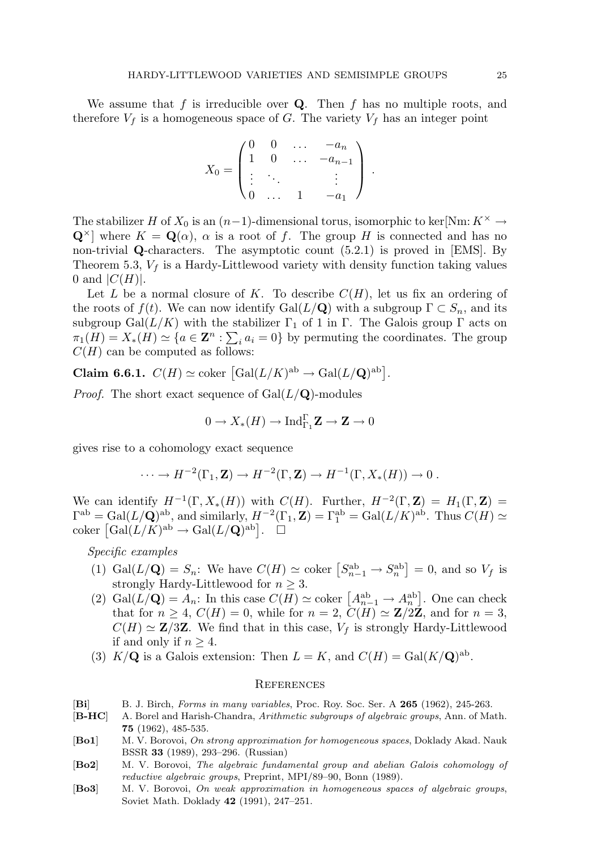We assume that f is irreducible over  $Q$ . Then f has no multiple roots, and therefore  $V_f$  is a homogeneous space of G. The variety  $V_f$  has an integer point

$$
X_0 = \begin{pmatrix} 0 & 0 & \dots & -a_n \\ 1 & 0 & \dots & -a_{n-1} \\ \vdots & \ddots & & \vdots \\ 0 & \dots & 1 & -a_1 \end{pmatrix}.
$$

The stabilizer H of  $X_0$  is an  $(n-1)$ -dimensional torus, isomorphic to ker[Nm:  $K^{\times} \rightarrow$  $\mathbf{Q}^{\times}$  where  $K = \mathbf{Q}(\alpha)$ ,  $\alpha$  is a root of f. The group H is connected and has no non-trivial Q-characters. The asymptotic count (5.2.1) is proved in [EMS]. By Theorem 5.3,  $V_f$  is a Hardy-Littlewood variety with density function taking values 0 and  $|C(H)|$ .

Let  $L$  be a normal closure of  $K$ . To describe  $C(H)$ , let us fix an ordering of the roots of  $f(t)$ . We can now identify Gal( $L/\mathbf{Q}$ ) with a subgroup  $\Gamma \subset S_n$ , and its subgroup Gal $(L/K)$  with the stabilizer  $\Gamma_1$  of 1 in Γ. The Galois group Γ acts on  $\pi_1(H) = X_*(H) \simeq \{a \in \mathbb{Z}^n : \sum_i a_i = 0\}$  by permuting the coordinates. The group  $C(H)$  can be computed as follows:

**Claim 6.6.1.**  $C(H) \simeq \text{coker} \left[ \text{Gal}(L/K)^{\text{ab}} \to \text{Gal}(L/\mathbf{Q})^{\text{ab}} \right]$ .

*Proof.* The short exact sequence of  $Gal(L/\mathbf{Q})$ -modules

$$
0 \to X_*(H) \to \mathrm{Ind}_{\Gamma_1}^{\Gamma} \mathbf{Z} \to \mathbf{Z} \to 0
$$

gives rise to a cohomology exact sequence

$$
\cdots \to H^{-2}(\Gamma_1, \mathbf{Z}) \to H^{-2}(\Gamma, \mathbf{Z}) \to H^{-1}(\Gamma, X_*(H)) \to 0.
$$

We can identify  $H^{-1}(\Gamma, X_*(H))$  with  $C(H)$ . Further,  $H^{-2}(\Gamma, \mathbb{Z}) = H_1(\Gamma, \mathbb{Z}) =$  $\Gamma^{\rm ab} = \text{Gal}(L/\mathbf{Q})^{\rm ab}$ , and similarly,  $H^{-2}(\Gamma_1, \mathbf{Z}) = \Gamma_1^{\rm ab} = \text{Gal}(L/K)^{\rm ab}$ . Thus  $C(H) \simeq$  $\mathrm{coker} \left[ \mathrm{Gal}(L/K)^{\mathrm{ab}} \to \mathrm{Gal}(L/\mathbf{Q})^{\mathrm{ab}} \right]$ .  $\square$ 

Specific examples

- (1) Gal $(L/\mathbf{Q}) = S_n$ : We have  $C(H) \simeq \text{coker} \left[ S_{n-1}^{\text{ab}} \to S_n^{\text{ab}} \right] = 0$ , and so  $V_f$  is strongly Hardy-Littlewood for  $n \geq 3$ .
- (2) Gal $(L/\mathbf{Q}) = A_n$ : In this case  $C(H) \simeq \text{coker } [A_{n-1}^{\text{ab}} \to A_n^{\text{ab}}]$ . One can check that for  $n \geq 4$ ,  $C(H) = 0$ , while for  $n = 2$ ,  $C(H) \simeq \mathbb{Z}/2\mathbb{Z}$ , and for  $n = 3$ ,  $C(H) \simeq \mathbf{Z}/3\mathbf{Z}$ . We find that in this case,  $V_f$  is strongly Hardy-Littlewood if and only if  $n \geq 4$ .
- (3)  $K/\mathbf{Q}$  is a Galois extension: Then  $L = K$ , and  $C(H) = \text{Gal}(K/\mathbf{Q})^{\text{ab}}$ .

#### **REFERENCES**

- [Bi] B. J. Birch, Forms in many variables, Proc. Roy. Soc. Ser. A 265 (1962), 245-263.
- [B-HC] A. Borel and Harish-Chandra, Arithmetic subgroups of algebraic groups, Ann. of Math. 75 (1962), 485-535.
- [Bo1] M. V. Borovoi, On strong approximation for homogeneous spaces, Doklady Akad. Nauk BSSR 33 (1989), 293–296. (Russian)
- [Bo2] M. V. Borovoi, The algebraic fundamental group and abelian Galois cohomology of reductive algebraic groups, Preprint, MPI/89–90, Bonn (1989).
- [Bo3] M. V. Borovoi, On weak approximation in homogeneous spaces of algebraic groups, Soviet Math. Doklady 42 (1991), 247–251.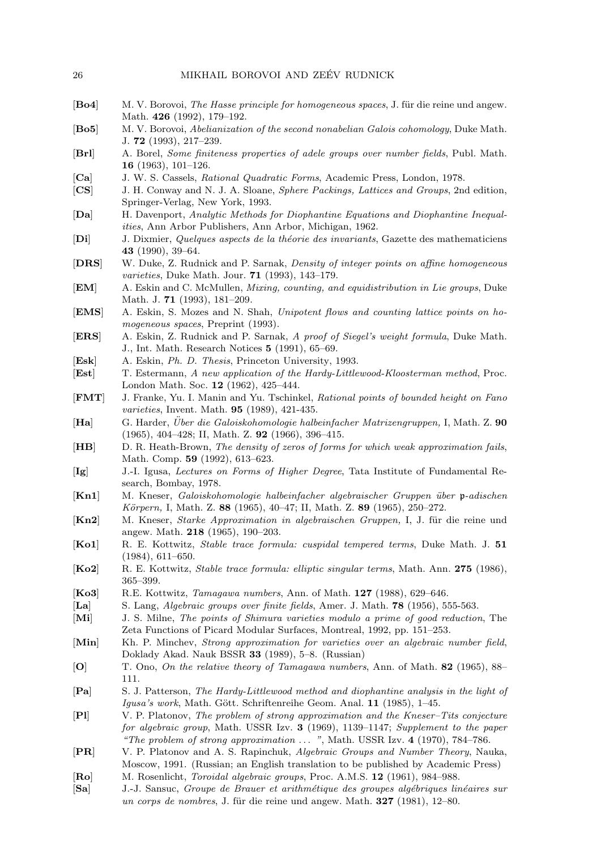- [Bo4] M. V. Borovoi, *The Hasse principle for homogeneous spaces*, J. für die reine und angew. Math. 426 (1992), 179–192.
- [Bo5] M. V. Borovoi, Abelianization of the second nonabelian Galois cohomology, Duke Math. J. 72 (1993), 217–239.
- [Brl] A. Borel, Some finiteness properties of adele groups over number fields, Publ. Math. 16 (1963), 101–126.
- [Ca] J. W. S. Cassels, Rational Quadratic Forms, Academic Press, London, 1978.
- [CS] J. H. Conway and N. J. A. Sloane, Sphere Packings, Lattices and Groups, 2nd edition, Springer-Verlag, New York, 1993.
- [Da] H. Davenport, Analytic Methods for Diophantine Equations and Diophantine Inequalities, Ann Arbor Publishers, Ann Arbor, Michigan, 1962.
- [Di] J. Dixmier, Quelques aspects de la théorie des invariants, Gazette des mathematiciens 43 (1990), 39–64.
- [DRS] W. Duke, Z. Rudnick and P. Sarnak, Density of integer points on affine homogeneous varieties, Duke Math. Jour. 71 (1993), 143–179.
- [EM] A. Eskin and C. McMullen, Mixing, counting, and equidistribution in Lie groups, Duke Math. J. 71 (1993), 181–209.
- [EMS] A. Eskin, S. Mozes and N. Shah, Unipotent flows and counting lattice points on homogeneous spaces, Preprint (1993).
- [ERS] A. Eskin, Z. Rudnick and P. Sarnak, A proof of Siegel's weight formula, Duke Math. J., Int. Math. Research Notices 5 (1991), 65–69.
- [Esk] A. Eskin, Ph. D. Thesis, Princeton University, 1993.
- [Est] T. Estermann, A new application of the Hardy-Littlewood-Kloosterman method, Proc. London Math. Soc. 12 (1962), 425–444.
- [FMT] J. Franke, Yu. I. Manin and Yu. Tschinkel, Rational points of bounded height on Fano varieties, Invent. Math. 95 (1989), 421-435.
- [Ha] G. Harder, *Über die Galoiskohomologie halbeinfacher Matrizengruppen*, I, Math. Z. 90 (1965), 404–428; II, Math. Z. 92 (1966), 396–415.
- [HB] D. R. Heath-Brown, The density of zeros of forms for which weak approximation fails, Math. Comp. 59 (1992), 613–623.
- [Ig] J.-I. Igusa, Lectures on Forms of Higher Degree, Tata Institute of Fundamental Research, Bombay, 1978.
- [Kn1] M. Kneser, Galoiskohomologie halbeinfacher algebraischer Gruppen über p-adischen Körpern, I, Math. Z. 88 (1965), 40–47; II, Math. Z. 89 (1965), 250–272.
- [Kn2] M. Kneser, *Starke Approximation in algebraischen Gruppen*, I, J. für die reine und angew. Math. 218 (1965), 190–203.
- [Ko1] R. E. Kottwitz, Stable trace formula: cuspidal tempered terms, Duke Math. J. 51 (1984), 611–650.
- [Ko2] R. E. Kottwitz, Stable trace formula: elliptic singular terms, Math. Ann. 275 (1986), 365–399.
- [Ko3] R.E. Kottwitz, Tamagawa numbers, Ann. of Math. 127 (1988), 629–646.
- [La] S. Lang, Algebraic groups over finite fields, Amer. J. Math. 78 (1956), 555-563.
- [Mi] J. S. Milne, The points of Shimura varieties modulo a prime of good reduction, The Zeta Functions of Picard Modular Surfaces, Montreal, 1992, pp. 151–253.
- [Min] Kh. P. Minchev, Strong approximation for varieties over an algebraic number field, Doklady Akad. Nauk BSSR 33 (1989), 5–8. (Russian)
- [O] T. Ono, On the relative theory of Tamagawa numbers, Ann. of Math. 82 (1965), 88– 111.
- [Pa] S. J. Patterson, The Hardy-Littlewood method and diophantine analysis in the light of Igusa's work, Math. Gött. Schriftenreihe Geom. Anal. 11 (1985), 1-45.
- [Pl] V. P. Platonov, The problem of strong approximation and the Kneser–Tits conjecture for algebraic group, Math. USSR Izv. 3 (1969), 1139–1147; Supplement to the paper "The problem of strong approximation  $\dots$  ", Math. USSR Izv. 4 (1970), 784–786.
- [PR] V. P. Platonov and A. S. Rapinchuk, Algebraic Groups and Number Theory, Nauka, Moscow, 1991. (Russian; an English translation to be published by Academic Press)
- [Ro] M. Rosenlicht, Toroidal algebraic groups, Proc. A.M.S. 12 (1961), 984–988.
- [Sa] J.-J. Sansuc, Groupe de Brauer et arithmétique des groupes algébriques linéaires sur un corps de nombres, J. für die reine und angew. Math.  $327$  (1981), 12–80.